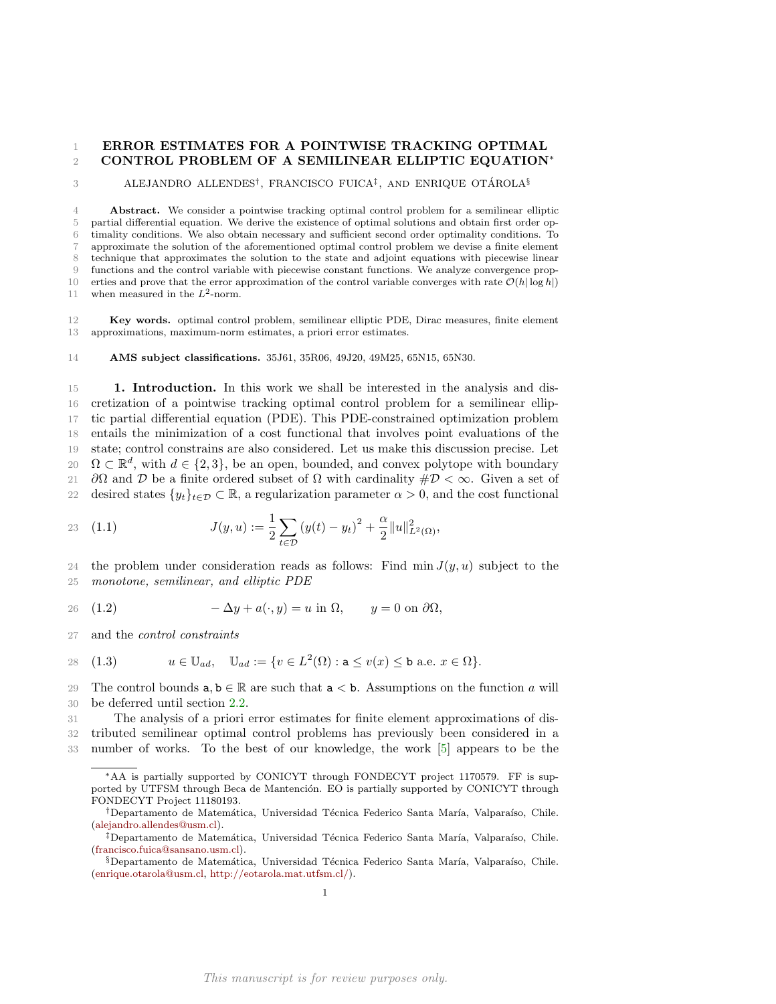## 1 ERROR ESTIMATES FOR A POINTWISE TRACKING OPTIMAL CONTROL PROBLEM OF A SEMILINEAR ELLIPTIC EQUATION<sup>∗</sup> 2

3 ALEJANDRO ALLENDES<sup>†</sup>, FRANCISCO FUICA<sup>‡</sup>, AND ENRIQUE OTÁROLA<sup>§</sup>

 Abstract. We consider a pointwise tracking optimal control problem for a semilinear elliptic partial differential equation. We derive the existence of optimal solutions and obtain first order op- timality conditions. We also obtain necessary and sufficient second order optimality conditions. To approximate the solution of the aforementioned optimal control problem we devise a finite element technique that approximates the solution to the state and adjoint equations with piecewise linear functions and the control variable with piecewise constant functions. We analyze convergence prop-10 erties and prove that the error approximation of the control variable converges with rate  $\mathcal{O}(h|\log h|)$ 11 when measured in the  $L^2$ -norm.

12 Key words. optimal control problem, semilinear elliptic PDE, Dirac measures, finite element 13 approximations, maximum-norm estimates, a priori error estimates.

14 AMS subject classifications. 35J61, 35R06, 49J20, 49M25, 65N15, 65N30.

 1. Introduction. In this work we shall be interested in the analysis and dis- cretization of a pointwise tracking optimal control problem for a semilinear ellip- tic partial differential equation (PDE). This PDE-constrained optimization problem entails the minimization of a cost functional that involves point evaluations of the state; control constrains are also considered. Let us make this discussion precise. Let  $\Omega \subset \mathbb{R}^d$ , with  $d \in \{2,3\}$ , be an open, bounded, and convex polytope with boundary 21 ∂Ω and D be a finite ordered subset of  $\Omega$  with cardinality  $\#\mathcal{D} < \infty$ . Given a set of 22 desired states  $\{y_t\}_{t\in\mathcal{D}}\subset\mathbb{R}$ , a regularization parameter  $\alpha>0$ , and the cost functional

<span id="page-0-0"></span>23 (1.1) 
$$
J(y, u) := \frac{1}{2} \sum_{t \in \mathcal{D}} (y(t) - y_t)^2 + \frac{\alpha}{2} ||u||_{L^2(\Omega)}^2,
$$

24 the problem under consideration reads as follows: Find min  $J(y, u)$  subject to the 25 monotone, semilinear, and elliptic PDE

<span id="page-0-2"></span>
$$
26 \quad (1.2) \qquad \qquad -\Delta y + a(\cdot, y) = u \text{ in } \Omega, \qquad y = 0 \text{ on } \partial \Omega,
$$

27 and the control constraints

<span id="page-0-1"></span>28 (1.3) 
$$
u \in \mathbb{U}_{ad}, \quad \mathbb{U}_{ad} := \{v \in L^2(\Omega) : \mathbf{a} \le v(x) \le \mathbf{b} \text{ a.e. } x \in \Omega\}.
$$

29 The control bounds  $a, b \in \mathbb{R}$  are such that  $a < b$ . Assumptions on the function a will 30 be deferred until section [2.2.](#page-2-0)

31 The analysis of a priori error estimates for finite element approximations of dis-32 tributed semilinear optimal control problems has previously been considered in a 33 number of works. To the best of our knowledge, the work [\[5\]](#page-23-0) appears to be the

<sup>∗</sup>AA is partially supported by CONICYT through FONDECYT project 1170579. FF is supported by UTFSM through Beca de Mantención. EO is partially supported by CONICYT through FONDECYT Project 11180193.

<sup>&</sup>lt;sup>†</sup>Departamento de Matemática, Universidad Técnica Federico Santa María, Valparaíso, Chile. [\(alejandro.allendes@usm.cl\)](mailto:alejandro.allendes@usm.cl).

<sup>&</sup>lt;sup>‡</sup>Departamento de Matemática, Universidad Técnica Federico Santa María, Valparaíso, Chile. [\(francisco.fuica@sansano.usm.cl\)](mailto:francisco.fuica@sansano.usm.cl).

<sup>§</sup>Departamento de Matemática, Universidad Técnica Federico Santa María, Valparaíso, Chile. [\(enrique.otarola@usm.cl,](mailto:enrique.otarola@usm.cl) [http://eotarola.mat.utfsm.cl/\)](http://eotarola.mat.utfsm.cl/).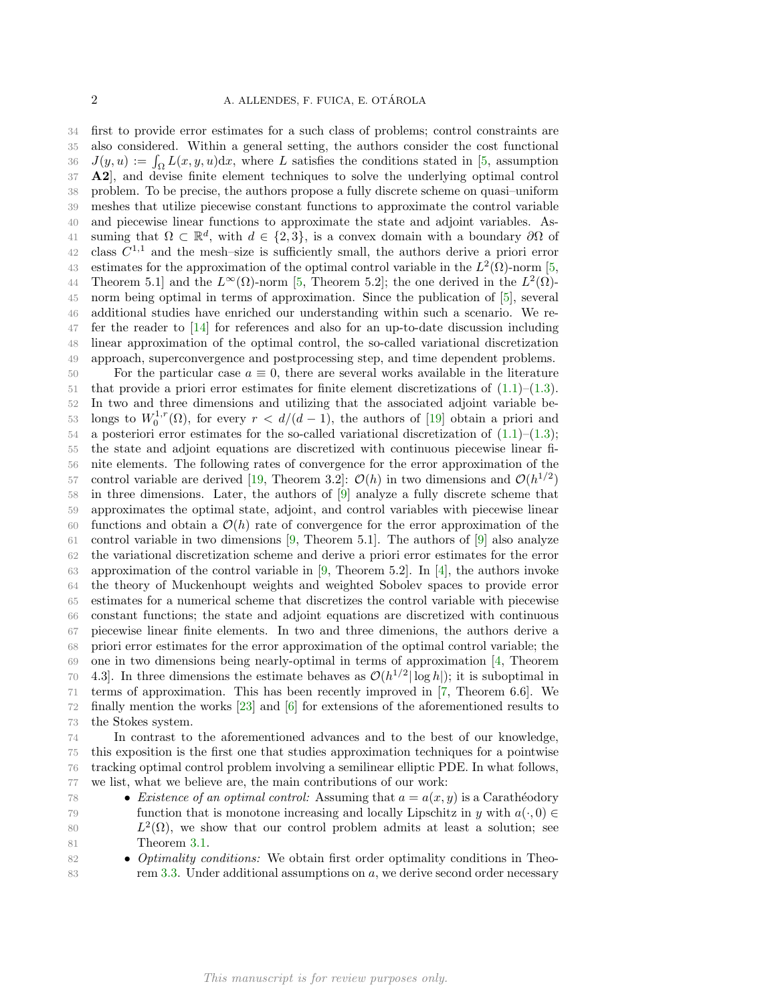first to provide error estimates for a such class of problems; control constraints are also considered. Within a general setting, the authors consider the cost functional  $J(y, u) := \int_{\Omega} L(x, y, u) dx$ , where L satisfies the conditions stated in [\[5,](#page-23-0) assumption A2], and devise finite element techniques to solve the underlying optimal control problem. To be precise, the authors propose a fully discrete scheme on quasi–uniform meshes that utilize piecewise constant functions to approximate the control variable and piecewise linear functions to approximate the state and adjoint variables. As-41 suming that  $\Omega \subset \mathbb{R}^d$ , with  $d \in \{2,3\}$ , is a convex domain with a boundary  $\partial\Omega$  of 42 class  $C^{1,1}$  and the mesh-size is sufficiently small, the authors derive a priori error 43 estimates for the approximation of the optimal control variable in the  $L^2(\Omega)$ -norm [\[5,](#page-23-0) 44 Theorem 5.1] and the  $L^{\infty}(\Omega)$ -norm [\[5,](#page-23-0) Theorem 5.2]; the one derived in the  $L^{2}(\Omega)$ - norm being optimal in terms of approximation. Since the publication of [\[5\]](#page-23-0), several additional studies have enriched our understanding within such a scenario. We re- fer the reader to [\[14\]](#page-24-0) for references and also for an up-to-date discussion including linear approximation of the optimal control, the so-called variational discretization approach, superconvergence and postprocessing step, and time dependent problems. 50 For the particular case  $a \equiv 0$ , there are several works available in the literature 51 that provide a priori error estimates for finite element discretizations of  $(1.1)$ – $(1.3)$ . In two and three dimensions and utilizing that the associated adjoint variable be-53 longs to  $W_0^{1,r}(\Omega)$ , for every  $r < d/(d-1)$ , the authors of [\[19\]](#page-24-1) obtain a priori and 54 a posteriori error estimates for the so-called variational discretization of  $(1.1)$ – $(1.3)$ ; the state and adjoint equations are discretized with continuous piecewise linear fi- nite elements. The following rates of convergence for the error approximation of the 57 control variable are derived [\[19,](#page-24-1) Theorem 3.2]:  $\mathcal{O}(h)$  in two dimensions and  $\mathcal{O}(h^{1/2})$  in three dimensions. Later, the authors of [\[9\]](#page-23-1) analyze a fully discrete scheme that approximates the optimal state, adjoint, and control variables with piecewise linear 60 functions and obtain a  $\mathcal{O}(h)$  rate of convergence for the error approximation of the 61 control variable in two dimensions  $[9,$  Theorem 5.1]. The authors of  $[9]$  also analyze the variational discretization scheme and derive a priori error estimates for the error approximation of the control variable in [\[9,](#page-23-1) Theorem 5.2]. In [\[4\]](#page-23-2), the authors invoke the theory of Muckenhoupt weights and weighted Sobolev spaces to provide error estimates for a numerical scheme that discretizes the control variable with piecewise constant functions; the state and adjoint equations are discretized with continuous piecewise linear finite elements. In two and three dimenions, the authors derive a priori error estimates for the error approximation of the optimal control variable; the one in two dimensions being nearly-optimal in terms of approximation [\[4,](#page-23-2) Theorem 70 4.3. In three dimensions the estimate behaves as  $\mathcal{O}(h^{1/2}|\log h|)$ ; it is suboptimal in terms of approximation. This has been recently improved in [\[7,](#page-23-3) Theorem 6.6]. We finally mention the works [\[23\]](#page-24-2) and [\[6\]](#page-23-4) for extensions of the aforementioned results to the Stokes system.

 In contrast to the aforementioned advances and to the best of our knowledge, this exposition is the first one that studies approximation techniques for a pointwise tracking optimal control problem involving a semilinear elliptic PDE. In what follows, we list, what we believe are, the main contributions of our work:

- 78 Existence of an optimal control: Assuming that  $a = a(x, y)$  is a Carathéodory 79 function that is monotone increasing and locally Lipschitz in y with  $a(\cdot, 0) \in$ 80  $L^2(\Omega)$ , we show that our control problem admits at least a solution; see Theorem [3.1.](#page-4-0)
- Optimality conditions: We obtain first order optimality conditions in Theo-rem [3.3.](#page-5-0) Under additional assumptions on a, we derive second order necessary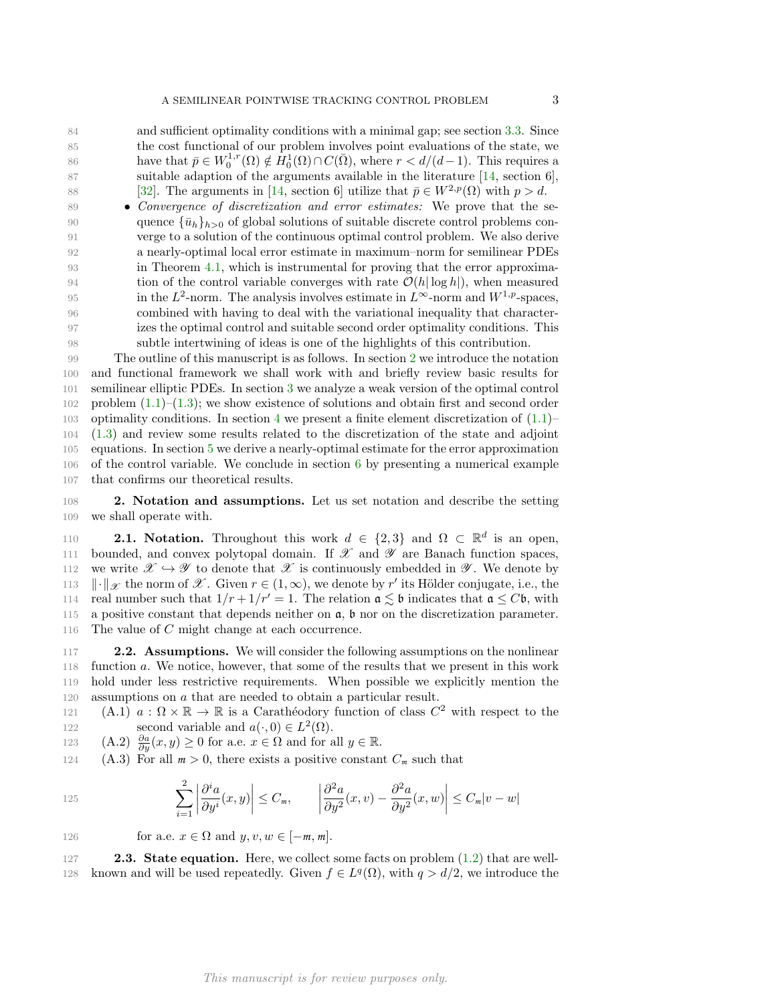and sufficient optimality conditions with a minimal gap; see section [3.3.](#page-6-0) Since the cost functional of our problem involves point evaluations of the state, we 86 have that  $\bar{p} \in W_0^{1,r}(\Omega) \notin H_0^1(\Omega) \cap C(\bar{\Omega})$ , where  $r < d/(d-1)$ . This requires a suitable adaption of the arguments available in the literature [\[14,](#page-24-0) section 6], [\[32\]](#page-24-3). The arguments in [\[14,](#page-24-0) section 6] utilize that  $\bar{p} \in W^{2,p}(\Omega)$  with  $p > d$ . 89 • Convergence of discretization and error estimates: We prove that the se-90 quence  $\{\bar{u}_h\}_{h>0}$  of global solutions of suitable discrete control problems con- verge to a solution of the continuous optimal control problem. We also derive a nearly-optimal local error estimate in maximum–norm for semilinear PDEs in Theorem [4.1,](#page-12-0) which is instrumental for proving that the error approxima-94 tion of the control variable converges with rate  $\mathcal{O}(h|\log h|)$ , when measured 95 in the  $L^2$ -norm. The analysis involves estimate in  $L^{\infty}$ -norm and  $W^{1,p}$ -spaces, combined with having to deal with the variational inequality that character-

 subtle intertwining of ideas is one of the highlights of this contribution. The outline of this manuscript is as follows. In section [2](#page-2-1) we introduce the notation and functional framework we shall work with and briefly review basic results for semilinear elliptic PDEs. In section [3](#page-3-0) we analyze a weak version of the optimal control problem [\(1.1\)](#page-0-0)–[\(1.3\)](#page-0-1); we show existence of solutions and obtain first and second order 103 optimality conditions. In section [4](#page-11-0) we present a finite element discretization of  $(1.1)$  [\(1.3\)](#page-0-1) and review some results related to the discretization of the state and adjoint equations. In section [5](#page-17-0) we derive a nearly-optimal estimate for the error approximation of the control variable. We conclude in section [6](#page-22-0) by presenting a numerical example that confirms our theoretical results.

97 izes the optimal control and suitable second order optimality conditions. This

<span id="page-2-1"></span>108 2. Notation and assumptions. Let us set notation and describe the setting 109 we shall operate with.

110 **2.1. Notation.** Throughout this work  $d \in \{2,3\}$  and  $\Omega \subset \mathbb{R}^d$  is an open, 111 bounded, and convex polytopal domain. If  $\mathscr X$  and  $\mathscr Y$  are Banach function spaces, 112 we write  $\mathscr{X} \hookrightarrow \mathscr{Y}$  to denote that  $\mathscr{X}$  is continuously embedded in  $\mathscr{Y}$ . We denote by 113  $\|\cdot\|_{\mathscr{X}}$  the norm of  $\mathscr{X}$ . Given  $r \in (1,\infty)$ , we denote by r' its Hölder conjugate, i.e., the real number such that  $1/r + 1/r' = 1$ . The relation  $\mathfrak{a} \leq \mathfrak{b}$  indicates that  $\mathfrak{a} \leq C\mathfrak{b}$ , with 115 a positive constant that depends neither on a, b nor on the discretization parameter. 116 The value of C might change at each occurrence.

<span id="page-2-0"></span>117 2.2. Assumptions. We will consider the following assumptions on the nonlinear function a. We notice, however, that some of the results that we present in this work hold under less restrictive requirements. When possible we explicitly mention the assumptions on a that are needed to obtain a particular result.

<span id="page-2-3"></span>121 (A.1)  $a : \Omega \times \mathbb{R} \to \mathbb{R}$  is a Carathéodory function of class  $C^2$  with respect to the 122 second variable and  $a(\cdot, 0) \in L^2(\Omega)$ .

<span id="page-2-2"></span>123 (A.2)  $\frac{\partial a}{\partial y}(x, y) \ge 0$  for a.e.  $x \in \Omega$  and for all  $y \in \mathbb{R}$ .

<span id="page-2-4"></span>124 (A.3) For all  $m > 0$ , there exists a positive constant  $C_m$  such that

125 
$$
\sum_{i=1}^{2} \left| \frac{\partial^{i} a}{\partial y^{i}}(x, y) \right| \leq C_{\pi}, \qquad \left| \frac{\partial^{2} a}{\partial y^{2}}(x, v) - \frac{\partial^{2} a}{\partial y^{2}}(x, w) \right| \leq C_{\pi} |v - w|
$$

126 for a.e.  $x \in \Omega$  and  $y, v, w \in [-m, m]$ .

127 2.3. State equation. Here, we collect some facts on problem  $(1.2)$  that are well-128 known and will be used repeatedly. Given  $f \in L^q(\Omega)$ , with  $q > d/2$ , we introduce the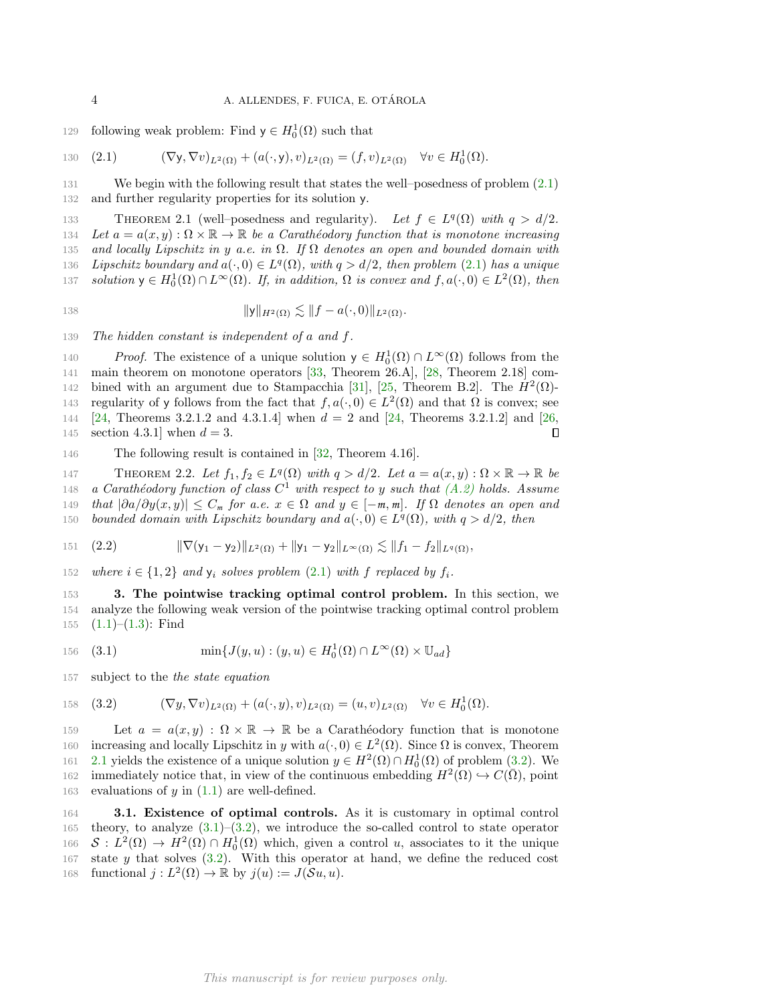129 following weak problem: Find  $y \in H_0^1(\Omega)$  such that

<span id="page-3-1"></span>130 (2.1) 
$$
(\nabla y, \nabla v)_{L^2(\Omega)} + (a(\cdot, y), v)_{L^2(\Omega)} = (f, v)_{L^2(\Omega)} \quad \forall v \in H_0^1(\Omega).
$$

131 We begin with the following result that states the well–posedness of problem [\(2.1\)](#page-3-1) 132 and further regularity properties for its solution y.

<span id="page-3-2"></span>133 THEOREM 2.1 (well-posedness and regularity). Let  $f \in L^q(\Omega)$  with  $q > d/2$ . 134 Let  $a = a(x, y) : \Omega \times \mathbb{R} \to \mathbb{R}$  be a Carathéodory function that is monotone increasing 135 and locally Lipschitz in y a.e. in  $\Omega$ . If  $\Omega$  denotes an open and bounded domain with 136 Lipschitz boundary and  $a(\cdot, 0) \in L^q(\Omega)$ , with  $q > d/2$ , then problem  $(2.1)$  has a unique 137 solution  $y \in H_0^1(\Omega) \cap L^{\infty}(\Omega)$ . If, in addition,  $\Omega$  is convex and  $f, a(\cdot, 0) \in L^2(\Omega)$ , then

138 
$$
||y||_{H^2(\Omega)} \lesssim ||f - a(\cdot, 0)||_{L^2(\Omega)}.
$$

139 The hidden constant is independent of a and f.

140 Proof. The existence of a unique solution  $y \in H_0^1(\Omega) \cap L^{\infty}(\Omega)$  follows from the 141 main theorem on monotone operators [\[33,](#page-24-4) Theorem 26.A], [\[28,](#page-24-5) Theorem 2.18] com-142 bined with an argument due to Stampacchia [\[31\]](#page-24-6), [\[25,](#page-24-7) Theorem B.2]. The  $H^2(\Omega)$ -143 regularity of y follows from the fact that  $f, a(\cdot, 0) \in L^2(\Omega)$  and that  $\Omega$  is convex; see 144 [\[24,](#page-24-8) Theorems 3.2.1.2 and 4.3.1.4] when  $d = 2$  and [24, Theorems 3.2.1.2] and [\[26,](#page-24-9) 145 section 4.3.1 when  $d = 3$ .  $\Box$ 

<span id="page-3-6"></span>146 The following result is contained in [\[32,](#page-24-3) Theorem 4.16].

147 THEOREM 2.2. Let  $f_1, f_2 \in L^q(\Omega)$  with  $q > d/2$ . Let  $a = a(x, y) : \Omega \times \mathbb{R} \to \mathbb{R}$  be 148 a Carathéodory function of class  $C^1$  with respect to y such that  $(A.2)$  holds. Assume <sup>149</sup> that |∂a/∂y(x, y)| ≤ C*<sup>m</sup>* for a.e. x ∈ Ω and y ∈ [−*m*, *m*]. If Ω denotes an open and 150 bounded domain with Lipschitz boundary and  $a(\cdot, 0) \in L^q(\Omega)$ , with  $q > d/2$ , then

<span id="page-3-5"></span>151 
$$
(2.2)
$$
 
$$
\|\nabla(y_1 - y_2)\|_{L^2(\Omega)} + \|y_1 - y_2\|_{L^\infty(\Omega)} \lesssim \|f_1 - f_2\|_{L^q(\Omega)},
$$

152 where  $i \in \{1,2\}$  and  $y_i$  solves problem [\(2.1\)](#page-3-1) with f replaced by  $f_i$ .

<span id="page-3-0"></span>153 3. The pointwise tracking optimal control problem. In this section, we 154 analyze the following weak version of the pointwise tracking optimal control problem 155  $(1.1)–(1.3)$  $(1.1)–(1.3)$  $(1.1)–(1.3)$ : Find

<span id="page-3-4"></span>156 (3.1) 
$$
\min\{J(y, u) : (y, u) \in H_0^1(\Omega) \cap L^\infty(\Omega) \times \mathbb{U}_{ad}\}
$$

157 subject to the the state equation

<span id="page-3-3"></span>158 (3.2) 
$$
(\nabla y, \nabla v)_{L^2(\Omega)} + (a(\cdot, y), v)_{L^2(\Omega)} = (u, v)_{L^2(\Omega)} \quad \forall v \in H_0^1(\Omega).
$$

159 Let  $a = a(x, y) : \Omega \times \mathbb{R} \to \mathbb{R}$  be a Carathéodory function that is monotone 160 increasing and locally Lipschitz in y with  $a(\cdot, 0) \in L^2(\Omega)$ . Since  $\Omega$  is convex, Theorem 161 [2.1](#page-3-2) yields the existence of a unique solution  $y \in H^2(\Omega) \cap H_0^1(\Omega)$  of problem [\(3.2\)](#page-3-3). We immediately notice that, in view of the continuous embedding  $H^2(\Omega) \hookrightarrow C(\overline{\Omega})$ , point 163 evaluations of  $y$  in  $(1.1)$  are well-defined.

164 3.1. Existence of optimal controls. As it is customary in optimal control 165 theory, to analyze  $(3.1)$ – $(3.2)$ , we introduce the so-called control to state operator 166  $S: L^2(\Omega) \to H^2(\Omega) \cap H_0^1(\Omega)$  which, given a control u, associates to it the unique 167 state  $y$  that solves  $(3.2)$ . With this operator at hand, we define the reduced cost 168 functional  $j: L^2(\Omega) \to \mathbb{R}$  by  $j(u) := J(\mathcal{S}u, u)$ .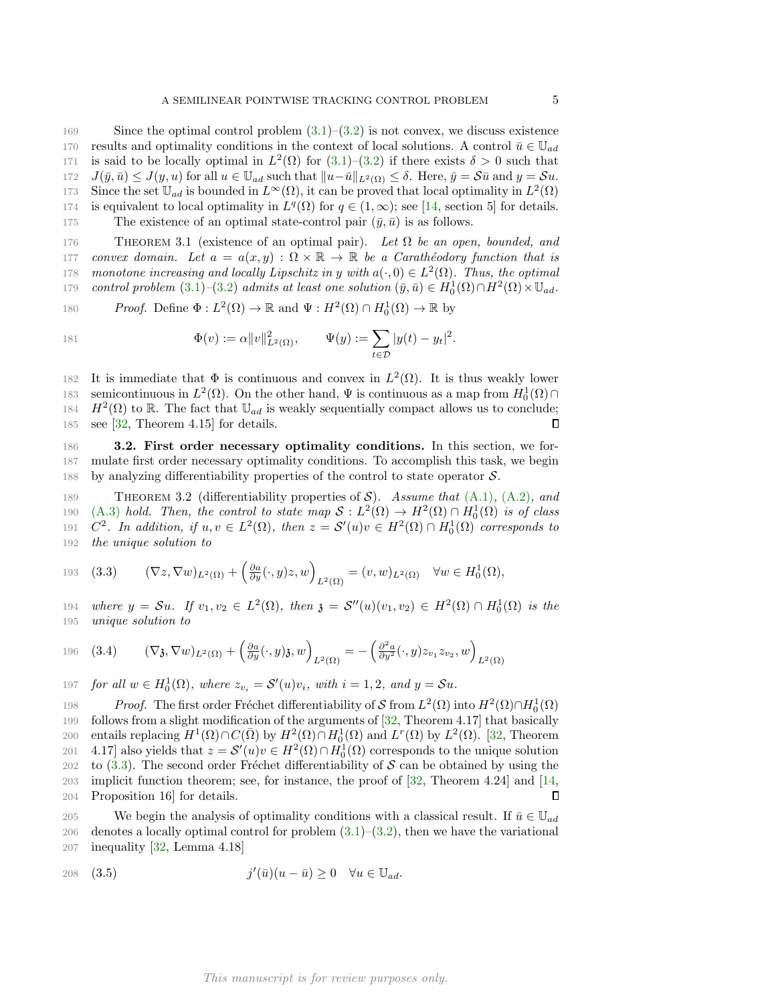169 Since the optimal control problem [\(3.1\)](#page-3-4)–[\(3.2\)](#page-3-3) is not convex, we discuss existence 170 results and optimality conditions in the context of local solutions. A control  $\bar{u} \in \mathbb{U}_{ad}$ 171 is said to be locally optimal in  $L^2(\Omega)$  for  $(3.1)$ – $(3.2)$  if there exists  $\delta > 0$  such that  $J(\bar{y}, \bar{u}) \leq J(y, u)$  for all  $u \in \mathbb{U}_{ad}$  such that  $||u-\bar{u}||_{L^2(\Omega)} \leq \delta$ . Here,  $\bar{y} = \mathcal{S}\bar{u}$  and  $y = \mathcal{S}u$ . 173 Since the set  $\mathbb{U}_{ad}$  is bounded in  $L^{\infty}(\Omega)$ , it can be proved that local optimality in  $L^2(\Omega)$ 174 is equivalent to local optimality in  $L^q(\Omega)$  for  $q \in (1,\infty)$ ; see [\[14,](#page-24-0) section 5] for details. 175 The existence of an optimal state-control pair  $(\bar{y}, \bar{u})$  is as follows.

<span id="page-4-0"></span>176 THEOREM 3.1 (existence of an optimal pair). Let  $\Omega$  be an open, bounded, and 177 convex domain. Let  $a = a(x, y) : \Omega \times \mathbb{R} \to \mathbb{R}$  be a Carathéodory function that is 178 monotone increasing and locally Lipschitz in y with  $a(\cdot, 0) \in L^2(\Omega)$ . Thus, the optimal 179 control problem  $(3.1)$  – $(3.2)$  admits at least one solution  $(\bar{y}, \bar{u}) \in H_0^1(\Omega) \cap H^2(\Omega) \times \mathbb{U}_{ad}$ .

180 *Proof.* Define 
$$
\Phi: L^2(\Omega) \to \mathbb{R}
$$
 and  $\Psi: H^2(\Omega) \cap H_0^1(\Omega) \to \mathbb{R}$  by

181 
$$
\Phi(v) := \alpha ||v||_{L^2(\Omega)}^2, \qquad \Psi(y) := \sum_{t \in \mathcal{D}} |y(t) - y_t|^2.
$$

182 It is immediate that  $\Phi$  is continuous and convex in  $L^2(\Omega)$ . It is thus weakly lower 183 semicontinuous in  $L^2(\Omega)$ . On the other hand,  $\Psi$  is continuous as a map from  $H_0^1(\Omega) \cap$ 184  $H^2(\Omega)$  to R. The fact that  $\mathbb{U}_{ad}$  is weakly sequentially compact allows us to conclude; 185 see [\[32,](#page-24-3) Theorem 4.15] for details.  $\Box$ 

186 3.2. First order necessary optimality conditions. In this section, we for-187 mulate first order necessary optimality conditions. To accomplish this task, we begin 188 by analyzing differentiability properties of the control to state operator S.

<span id="page-4-3"></span>189 THEOREM 3.2 (differentiability properties of  $S$ ). Assume that  $(A.1)$ ,  $(A.2)$ , and [\(A.3\)](#page-2-4) hold. Then, the control to state map  $S: L^2(\Omega) \to H^2(\Omega) \cap H_0^1(\Omega)$  is of class  $C^2$ . In addition, if  $u, v \in L^2(\Omega)$ , then  $z = \mathcal{S}'(u)v \in H^2(\Omega) \cap H_0^1(\Omega)$  corresponds to the unique solution to

<span id="page-4-1"></span>193 (3.3) 
$$
(\nabla z, \nabla w)_{L^2(\Omega)} + \left(\frac{\partial a}{\partial y}(\cdot, y)z, w\right)_{L^2(\Omega)} = (v, w)_{L^2(\Omega)} \quad \forall w \in H_0^1(\Omega),
$$

194 where  $y = Su$ . If  $v_1, v_2 \in L^2(\Omega)$ , then  $\mathfrak{z} = S''(u)(v_1, v_2) \in H^2(\Omega) \cap H_0^1(\Omega)$  is the 195 unique solution to

<span id="page-4-4"></span>196 
$$
(3.4) \qquad (\nabla_{\mathfrak{F}}, \nabla w)_{L^2(\Omega)} + \left(\frac{\partial a}{\partial y}(\cdot, y)_{\mathfrak{F}}, w\right)_{L^2(\Omega)} = -\left(\frac{\partial^2 a}{\partial y^2}(\cdot, y) z_{v_1} z_{v_2}, w\right)_{L^2(\Omega)}
$$

197 for all  $w \in H_0^1(\Omega)$ , where  $z_{v_i} = \mathcal{S}'(u)v_i$ , with  $i = 1, 2$ , and  $y = \mathcal{S}u$ .

198 Proof. The first order Fréchet differentiability of S from  $L^2(\Omega)$  into  $H^2(\Omega) \cap H_0^1(\Omega)$ 199 follows from a slight modification of the arguments of [\[32,](#page-24-3) Theorem 4.17] that basically 200 entails replacing  $H^1(\Omega) \cap C(\overline{\Omega})$  by  $H^2(\Omega) \cap H_0^1(\Omega)$  and  $L^r(\Omega)$  by  $L^2(\Omega)$ . [\[32,](#page-24-3) Theorem 201 4.17] also yields that  $z = \mathcal{S}'(u)v \in H^2(\Omega) \cap H_0^1(\Omega)$  corresponds to the unique solution 202 to  $(3.3)$ . The second order Fréchet differentiability of S can be obtained by using the 203 implicit function theorem; see, for instance, the proof of [\[32,](#page-24-3) Theorem 4.24] and [\[14,](#page-24-0) 204 Proposition 16] for details.  $\Box$ 

205 We begin the analysis of optimality conditions with a classical result. If  $\bar{u} \in \mathbb{U}_{ad}$ 206 denotes a locally optimal control for problem  $(3.1)$ – $(3.2)$ , then we have the variational 207 inequality [\[32,](#page-24-3) Lemma 4.18]

<span id="page-4-2"></span>208 (3.5) 
$$
j'(\bar{u})(u-\bar{u}) \geq 0 \quad \forall u \in \mathbb{U}_{ad}.
$$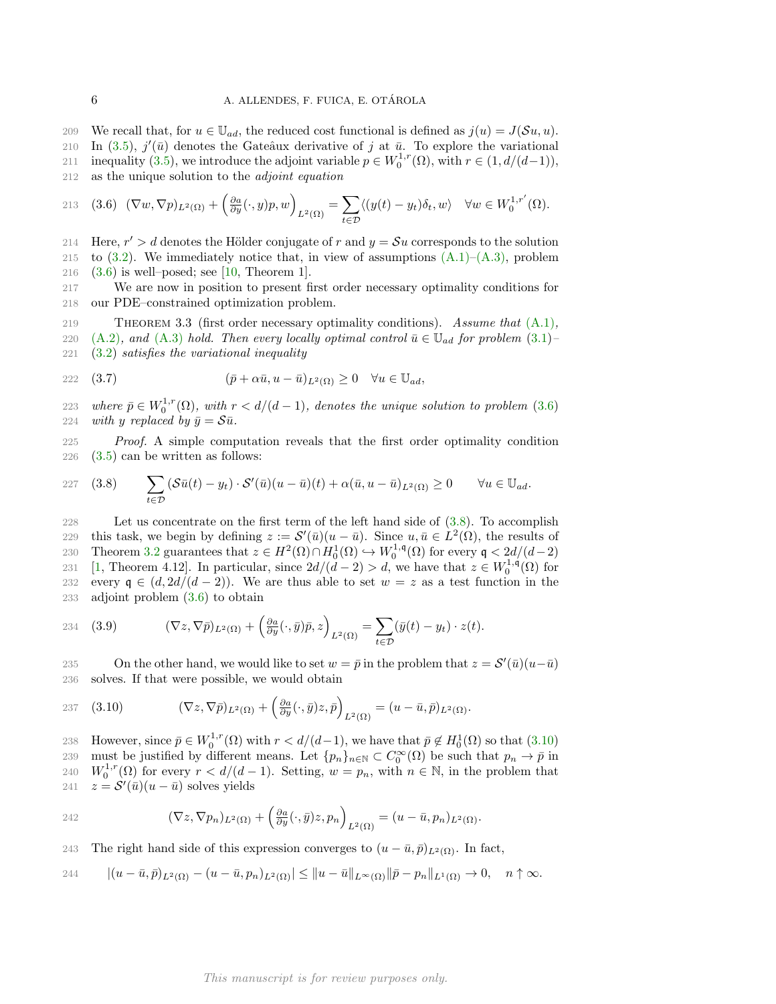209 We recall that, for  $u \in \mathbb{U}_{ad}$ , the reduced cost functional is defined as  $j(u) = J(\mathcal{S}u, u)$ . 210 In [\(3.5\)](#page-4-2),  $j'(\bar{u})$  denotes the Gateaux derivative of j at  $\bar{u}$ . To explore the variational

211 inequality [\(3.5\)](#page-4-2), we introduce the adjoint variable  $p \in W_0^{1,r}(\Omega)$ , with  $r \in (1, d/(d-1)),$ 212 as the unique solution to the adjoint equation

<span id="page-5-1"></span>213 (3.6) 
$$
(\nabla w, \nabla p)_{L^2(\Omega)} + \left(\frac{\partial a}{\partial y}(\cdot, y)p, w\right)_{L^2(\Omega)} = \sum_{t \in \mathcal{D}} \langle (y(t) - y_t)\delta_t, w \rangle \quad \forall w \in W_0^{1,r'}(\Omega).
$$

 $114$  Here,  $r' > d$  denotes the Hölder conjugate of r and  $y = S u$  corresponds to the solution 215 to  $(3.2)$ . We immediately notice that, in view of assumptions  $(A.1)$ – $(A.3)$ , problem 216  $(3.6)$  is well–posed; see [\[10,](#page-23-5) Theorem 1].

217 We are now in position to present first order necessary optimality conditions for 218 our PDE–constrained optimization problem.

<span id="page-5-0"></span>219 THEOREM 3.3 (first order necessary optimality conditions). Assume that  $(A.1)$ , 220 [\(A.2\)](#page-2-2), and [\(A.3\)](#page-2-4) hold. Then every locally optimal control  $\bar{u} \in \mathbb{U}_{ad}$  for problem [\(3.1\)](#page-3-4)–  $221 \quad (3.2)$  $221 \quad (3.2)$  satisfies the variational inequality

<span id="page-5-4"></span>
$$
(3.7) \qquad \qquad (\bar{p} + \alpha \bar{u}, u - \bar{u})_{L^2(\Omega)} \ge 0 \quad \forall u \in \mathbb{U}_{ad},
$$

223 where  $\bar{p} \in W_0^{1,r}(\Omega)$ , with  $r < d/(d-1)$ , denotes the unique solution to problem [\(3.6\)](#page-5-1) 224 with y replaced by  $\bar{y} = S\bar{u}$ .

225 Proof. A simple computation reveals that the first order optimality condition 226 [\(3.5\)](#page-4-2) can be written as follows:

<span id="page-5-2"></span>227 (3.8) 
$$
\sum_{t \in \mathcal{D}} (\mathcal{S}\bar{u}(t) - y_t) \cdot \mathcal{S}'(\bar{u})(u - \bar{u})(t) + \alpha(\bar{u}, u - \bar{u})_{L^2(\Omega)} \geq 0 \quad \forall u \in \mathbb{U}_{ad}.
$$

228 Let us concentrate on the first term of the left hand side of [\(3.8\)](#page-5-2). To accomplish 229 this task, we begin by defining  $z := \mathcal{S}'(\bar{u})(u - \bar{u})$ . Since  $u, \bar{u} \in L^2(\Omega)$ , the results of 230 Theorem [3.2](#page-4-3) guarantees that  $z \in H^2(\Omega) \cap H_0^1(\Omega) \hookrightarrow W_0^{1,\mathfrak{q}}(\Omega)$  for every  $\mathfrak{q} < 2d/(d-2)$ 231 [\[1,](#page-23-6) Theorem 4.12]. In particular, since  $2d/(\tilde{d}-2) > d$ , we have that  $z \in W_0^{1,q}(\Omega)$  for 232 every  $\mathfrak{q} \in (d, 2d/(d-2))$ . We are thus able to set  $w = z$  as a test function in the 233 adjoint problem [\(3.6\)](#page-5-1) to obtain

<span id="page-5-5"></span>234 
$$
(\nabla z, \nabla \bar{p})_{L^2(\Omega)} + \left(\frac{\partial a}{\partial y}(\cdot, \bar{y})\bar{p}, z\right)_{L^2(\Omega)} = \sum_{t \in \mathcal{D}} (\bar{y}(t) - y_t) \cdot z(t).
$$

235 On the other hand, we would like to set  $w = \bar{p}$  in the problem that  $z = \mathcal{S}'(\bar{u})(u-\bar{u})$ 236 solves. If that were possible, we would obtain

<span id="page-5-3"></span>237 (3.10) 
$$
(\nabla z, \nabla \bar{p})_{L^2(\Omega)} + \left(\frac{\partial a}{\partial y}(\cdot, \bar{y})z, \bar{p}\right)_{L^2(\Omega)} = (u - \bar{u}, \bar{p})_{L^2(\Omega)}.
$$

238 However, since  $\bar{p} \in W_0^{1,r}(\Omega)$  with  $r < d/(d-1)$ , we have that  $\bar{p} \notin H_0^1(\Omega)$  so that  $(3.10)$ 239 must be justified by different means. Let  $\{p_n\}_{n\in\mathbb{N}}\subset C_0^{\infty}(\Omega)$  be such that  $p_n\to\overline{p}$  in 240  $W_0^{1,r}(\Omega)$  for every  $r < d/(d-1)$ . Setting,  $w = p_n$ , with  $n \in \mathbb{N}$ , in the problem that 241  $z = \mathcal{S}'(\bar{u})(u - \bar{u})$  solves yields

242 
$$
(\nabla z, \nabla p_n)_{L^2(\Omega)} + \left(\frac{\partial a}{\partial y}(\cdot, \bar{y})z, p_n\right)_{L^2(\Omega)} = (u - \bar{u}, p_n)_{L^2(\Omega)}.
$$

243 The right hand side of this expression converges to  $(u - \bar{u}, \bar{p})_{L^2(\Omega)}$ . In fact,

244 
$$
|(u - \bar{u}, \bar{p})_{L^2(\Omega)} - (u - \bar{u}, p_n)_{L^2(\Omega)}| \leq ||u - \bar{u}||_{L^{\infty}(\Omega)} ||\bar{p} - p_n||_{L^1(\Omega)} \to 0, \quad n \uparrow \infty.
$$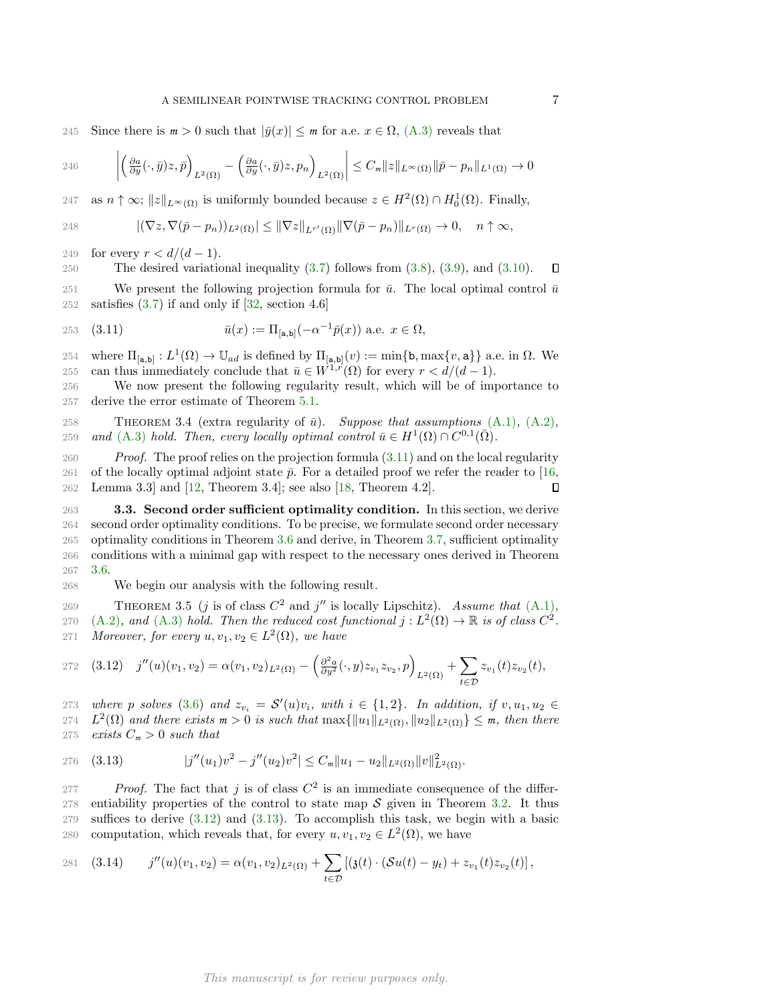245 Since there is  $m > 0$  such that  $|\bar{y}(x)| \leq m$  for a.e.  $x \in \Omega$ , [\(A.3\)](#page-2-4) reveals that

246 
$$
\left| \left( \frac{\partial a}{\partial y} (\cdot, \bar{y}) z, \bar{p} \right)_{L^2(\Omega)} - \left( \frac{\partial a}{\partial y} (\cdot, \bar{y}) z, p_n \right)_{L^2(\Omega)} \right| \leq C_m ||z||_{L^{\infty}(\Omega)} ||\bar{p} - p_n||_{L^1(\Omega)} \to 0
$$

247 as  $n \uparrow \infty$ ;  $||z||_{L^{\infty}(\Omega)}$  is uniformly bounded because  $z \in H^2(\Omega) \cap H_0^1(\Omega)$ . Finally,

$$
|(\nabla z, \nabla(\bar{p}-p_n))_{L^2(\Omega)}| \leq \|\nabla z\|_{L^{r'}(\Omega)} \|\nabla(\bar{p}-p_n)\|_{L^r(\Omega)} \to 0, \quad n \uparrow \infty,
$$

249 for every  $r < d/(d-1)$ .

250 The desired variational inequality [\(3.7\)](#page-5-4) follows from [\(3.8\)](#page-5-2), [\(3.9\)](#page-5-5), and [\(3.10\)](#page-5-3).  $\Box$ 

251 We present the following projection formula for  $\bar{u}$ . The local optimal control  $\bar{u}$ 252 satisfies  $(3.7)$  if and only if  $[32, \text{ section } 4.6]$  $[32, \text{ section } 4.6]$ 

<span id="page-6-1"></span>253 (3.11) 
$$
\bar{u}(x) := \Pi_{[a,b]}(-\alpha^{-1}\bar{p}(x))
$$
 a.e.  $x \in \Omega$ ,

254 where  $\Pi_{[a,b]} : L^1(\Omega) \to \mathbb{U}_{ad}$  is defined by  $\Pi_{[a,b]}(v) := \min\{b, \max\{v, a\}\}\$ a.e. in  $\Omega$ . We 255 can thus immediately conclude that  $\bar{u} \in W^{1,r}(\Omega)$  for every  $r < d/(d-1)$ .

256 We now present the following regularity result, which will be of importance to 257 derive the error estimate of Theorem [5.1.](#page-17-1)

<span id="page-6-5"></span>258 THEOREM 3.4 (extra regularity of  $\bar{u}$ ). Suppose that assumptions  $(A.1)$ ,  $(A.2)$ , 259 and [\(A.3\)](#page-2-4) hold. Then, every locally optimal control  $\bar{u} \in H^1(\Omega) \cap C^{0,1}(\bar{\Omega})$ .

260 Proof. The proof relies on the projection formula  $(3.11)$  and on the local regularity 261 of the locally optimal adjoint state  $\bar{p}$ . For a detailed proof we refer the reader to [\[16,](#page-24-10) 262 Lemma 3.3] and [\[12,](#page-23-7) Theorem 3.4]; see also [\[18,](#page-24-11) Theorem 4.2]. П

<span id="page-6-0"></span> 3.3. Second order sufficient optimality condition. In this section, we derive second order optimality conditions. To be precise, we formulate second order necessary optimality conditions in Theorem [3.6](#page-8-0) and derive, in Theorem [3.7,](#page-9-0) sufficient optimality conditions with a minimal gap with respect to the necessary ones derived in Theorem 267 [3.6.](#page-8-0)

268 We begin our analysis with the following result.

269 THEOREM 3.5 (*j* is of class  $C^2$  and  $j''$  is locally Lipschitz). Assume that  $(A.1)$ , 270 [\(A.2\)](#page-2-2), and [\(A.3\)](#page-2-4) hold. Then the reduced cost functional  $j: L^2(\Omega) \to \mathbb{R}$  is of class  $C^2$ . 271 Moreover, for every  $u, v_1, v_2 \in L^2(\Omega)$ , we have

<span id="page-6-2"></span>272 (3.12) 
$$
j''(u)(v_1, v_2) = \alpha(v_1, v_2)_{L^2(\Omega)} - \left(\frac{\partial^2 a}{\partial y^2}(\cdot, y) z_{v_1} z_{v_2}, p\right)_{L^2(\Omega)} + \sum_{t \in \mathcal{D}} z_{v_1}(t) z_{v_2}(t),
$$

273 where p solves [\(3.6\)](#page-5-1) and  $z_{v_i} = \mathcal{S}'(u)v_i$ , with  $i \in \{1,2\}$ . In addition, if  $v, u_1, u_2 \in$ 274  $L^2(\Omega)$  and there exists  $m > 0$  is such that  $\max\{\|u_1\|_{L^2(\Omega)}, \|u_2\|_{L^2(\Omega)}\} \leq m$ , then there 275 exists  $C_m > 0$  such that

<span id="page-6-3"></span>276 (3.13) 
$$
|j''(u_1)v^2 - j''(u_2)v^2| \leq C_m \|u_1 - u_2\|_{L^2(\Omega)} \|v\|_{L^2(\Omega)}^2.
$$

277 Proof. The fact that j is of class  $C^2$  is an immediate consequence of the differ-278 entiability properties of the control to state map  $S$  given in Theorem [3.2.](#page-4-3) It thus 279 suffices to derive [\(3.12\)](#page-6-2) and [\(3.13\)](#page-6-3). To accomplish this task, we begin with a basic 280 computation, which reveals that, for every  $u, v_1, v_2 \in L^2(\Omega)$ , we have

<span id="page-6-4"></span>281 (3.14) 
$$
j''(u)(v_1, v_2) = \alpha(v_1, v_2)_{L^2(\Omega)} + \sum_{t \in \mathcal{D}} [(3(t) \cdot (\mathcal{S}u(t) - y_t) + z_{v_1}(t)z_{v_2}(t)],
$$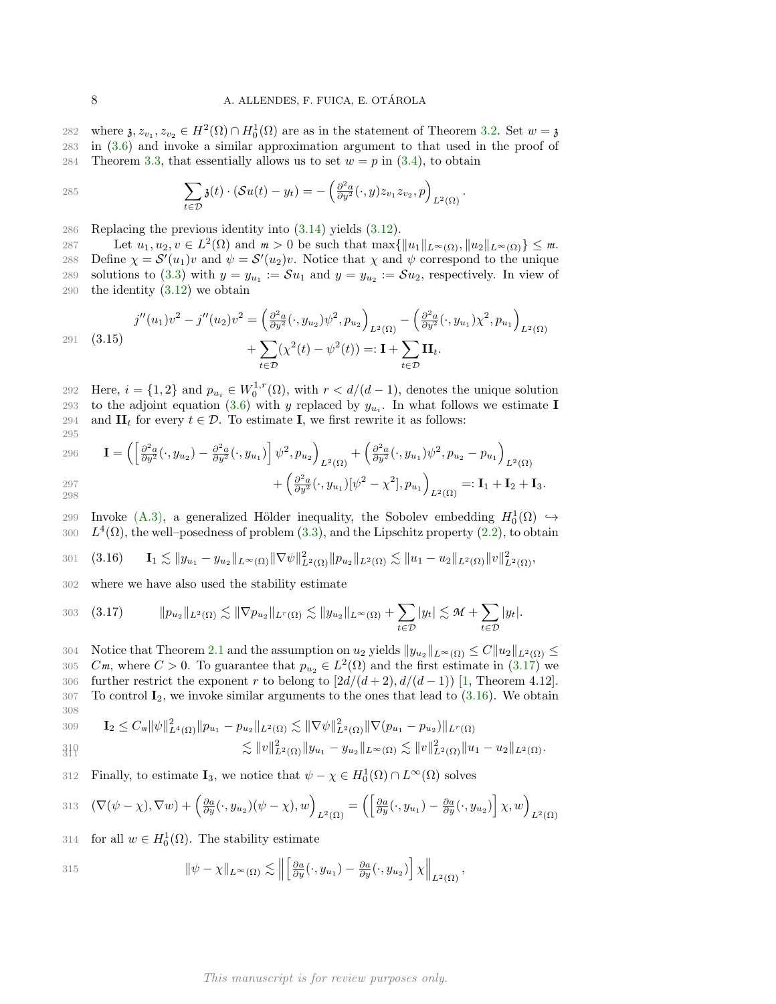282 where  $\mathfrak{z}, z_{v_1}, z_{v_2} \in H^2(\Omega) \cap H_0^1(\Omega)$  are as in the statement of Theorem [3.2.](#page-4-3) Set  $w = \mathfrak{z}$ 283 in [\(3.6\)](#page-5-1) and invoke a similar approximation argument to that used in the proof of 284 Theorem [3.3,](#page-5-0) that essentially allows us to set  $w = p$  in  $(3.4)$ , to obtain

285 
$$
\sum_{t \in \mathcal{D}} \mathfrak{z}(t) \cdot (\mathcal{S}u(t) - y_t) = -\left(\frac{\partial^2 a}{\partial y^2}(\cdot, y) z_{v_1} z_{v_2}, p\right)_{L^2(\Omega)}.
$$

286 Replacing the previous identity into [\(3.14\)](#page-6-4) yields [\(3.12\)](#page-6-2).

287 Let  $u_1, u_2, v \in L^2(\Omega)$  and  $m > 0$  be such that max{ $||u_1||_{L^{\infty}(\Omega)}, ||u_2||_{L^{\infty}(\Omega)}$ } ≤ *m*. 288 Define  $\chi = \mathcal{S}'(u_1)v$  and  $\psi = \mathcal{S}'(u_2)v$ . Notice that  $\chi$  and  $\psi$  correspond to the unique 289 solutions to [\(3.3\)](#page-4-1) with  $y = y_{u_1} := \mathcal{S}u_1$  and  $y = y_{u_2} := \mathcal{S}u_2$ , respectively. In view of 290 the identity  $(3.12)$  we obtain

<span id="page-7-2"></span>
$$
j''(u_1)v^2 - j''(u_2)v^2 = \left(\frac{\partial^2 a}{\partial y^2}(\cdot, y_{u_2})\psi^2, p_{u_2}\right)_{L^2(\Omega)} - \left(\frac{\partial^2 a}{\partial y^2}(\cdot, y_{u_1})\chi^2, p_{u_1}\right)_{L^2(\Omega)} + \sum_{t \in \mathcal{D}} (\chi^2(t) - \psi^2(t)) =: \mathbf{I} + \sum_{t \in \mathcal{D}} \mathbf{II}_t.
$$

292 Here,  $i = \{1, 2\}$  and  $p_{u_i} \in W_0^{1,r}(\Omega)$ , with  $r < d/(d-1)$ , denotes the unique solution 293 to the adjoint equation [\(3.6\)](#page-5-1) with y replaced by  $y_{u_i}$ . In what follows we estimate **I** 294 and  $\mathbf{II}_t$  for every  $t \in \mathcal{D}$ . To estimate **I**, we first rewrite it as follows: 295

296 
$$
\mathbf{I} = \left( \left[ \frac{\partial^2 a}{\partial y^2} (\cdot, y_{u_2}) - \frac{\partial^2 a}{\partial y^2} (\cdot, y_{u_1}) \right] \psi^2, p_{u_2} \right)_{L^2(\Omega)} + \left( \frac{\partial^2 a}{\partial y^2} (\cdot, y_{u_1}) \psi^2, p_{u_2} - p_{u_1} \right)_{L^2(\Omega)} + \left( \frac{\partial^2 a}{\partial y^2} (\cdot, y_{u_1}) [\psi^2 - \chi^2], p_{u_1} \right)_{L^2(\Omega)} =: \mathbf{I}_1 + \mathbf{I}_2 + \mathbf{I}_3.
$$

299 Invoke  $(A.3)$ , a generalized Hölder inequality, the Sobolev embedding  $H_0^1(\Omega) \hookrightarrow$ 300  $L^4(\Omega)$ , the well–posedness of problem [\(3.3\)](#page-4-1), and the Lipschitz property [\(2.2\)](#page-3-5), to obtain

<span id="page-7-1"></span>
$$
301 \quad (3.16) \qquad \mathbf{I}_1 \lesssim \|y_{u_1} - y_{u_2}\|_{L^{\infty}(\Omega)} \|\nabla \psi\|_{L^2(\Omega)}^2 \|p_{u_2}\|_{L^2(\Omega)} \lesssim \|u_1 - u_2\|_{L^2(\Omega)} \|v\|_{L^2(\Omega)}^2,
$$

302 where we have also used the stability estimate

<span id="page-7-0"></span>
$$
303 \quad (3.17) \qquad \qquad ||p_{u_2}||_{L^2(\Omega)} \lesssim ||\nabla p_{u_2}||_{L^r(\Omega)} \lesssim ||y_{u_2}||_{L^{\infty}(\Omega)} + \sum_{t \in \mathcal{D}} |y_t| \lesssim \mathcal{M} + \sum_{t \in \mathcal{D}} |y_t|.
$$

304 Notice that Theorem [2.1](#page-3-2) and the assumption on  $u_2$  yields  $||y_{u_2}||_{L^{\infty}(\Omega)} \leq C||u_2||_{L^2(\Omega)} \leq$ 305 Cm, where  $C > 0$ . To guarantee that  $p_{u_2} \in L^2(\Omega)$  and the first estimate in  $(3.17)$  we 306 further restrict the exponent r to belong to  $[2d/(d+2), d/(d-1))$  [\[1,](#page-23-6) Theorem 4.12].  $307$  To control  $\mathbf{I}_2$ , we invoke similar arguments to the ones that lead to  $(3.16)$ . We obtain 308

$$
I_2 \leq C_m \|\psi\|_{L^4(\Omega)}^2 \|p_{u_1} - p_{u_2}\|_{L^2(\Omega)} \lesssim \|\nabla \psi\|_{L^2(\Omega)}^2 \|\nabla (p_{u_1} - p_{u_2})\|_{L^r(\Omega)}
$$
\n
$$
\leq \|\psi\|_{L^2(\Omega)}^2 \|p_{u_1} - p_{u_2}\|_{L^r(\Omega)} \lesssim \|p_{u_1} - p_{u_2}\|_{L^r(\Omega)} \|p_{u_1} - p_{u_2}\|_{L^r(\Omega)}
$$

$$
\lesssim \|v\|_{L^2(\Omega)}^2 \|y_{u_1} - y_{u_2}\|_{L^\infty(\Omega)} \lesssim \|v\|_{L^2(\Omega)}^2 \|u_1 - u_2\|_{L^2(\Omega)}.
$$

312 Finally, to estimate  $I_3$ , we notice that  $\psi - \chi \in H_0^1(\Omega) \cap L^\infty(\Omega)$  solves

313 
$$
(\nabla(\psi - \chi), \nabla w) + \left(\frac{\partial a}{\partial y}(\cdot, y_{u_2})(\psi - \chi), w\right)_{L^2(\Omega)} = \left(\left[\frac{\partial a}{\partial y}(\cdot, y_{u_1}) - \frac{\partial a}{\partial y}(\cdot, y_{u_2})\right]\chi, w\right)_{L^2(\Omega)}
$$

314 for all  $w \in H_0^1(\Omega)$ . The stability estimate

315 
$$
\|\psi - \chi\|_{L^{\infty}(\Omega)} \lesssim \left\| \left[\frac{\partial a}{\partial y}(\cdot, y_{u_1}) - \frac{\partial a}{\partial y}(\cdot, y_{u_2})\right] \chi \right\|_{L^2(\Omega)},
$$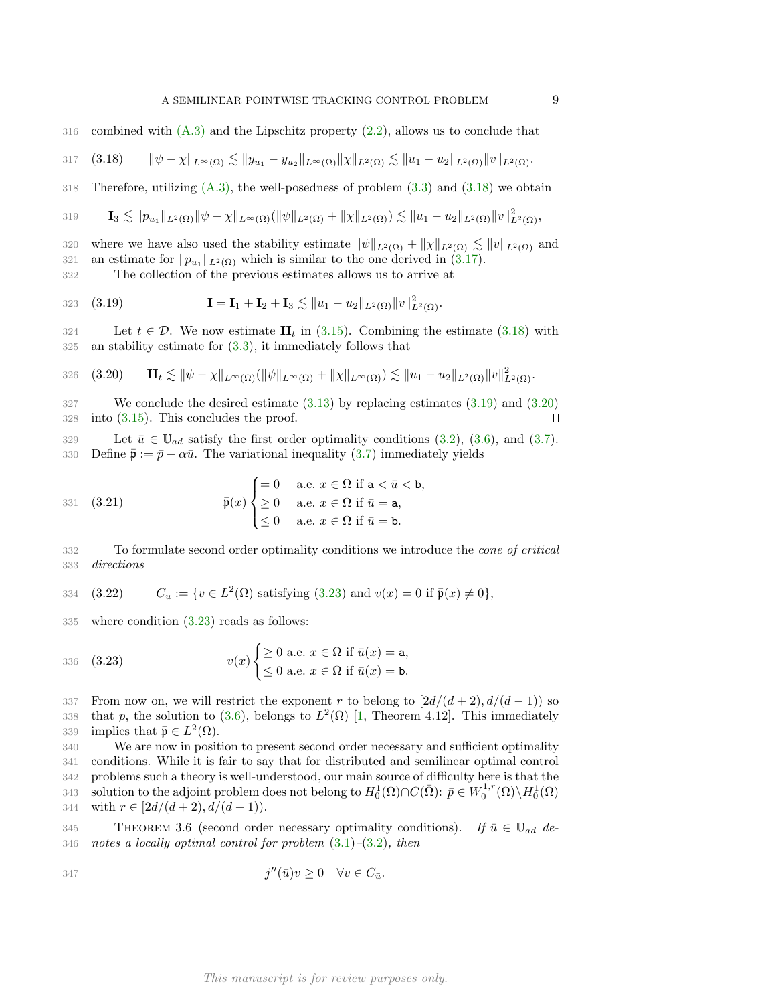316 combined with [\(A.3\)](#page-2-4) and the Lipschitz property [\(2.2\)](#page-3-5), allows us to conclude that

<span id="page-8-1"></span>317 (3.18) 
$$
\|\psi - \chi\|_{L^{\infty}(\Omega)} \lesssim \|y_{u_1} - y_{u_2}\|_{L^{\infty}(\Omega)} \|\chi\|_{L^2(\Omega)} \lesssim \|u_1 - u_2\|_{L^2(\Omega)} \|v\|_{L^2(\Omega)}.
$$

318 Therefore, utilizing  $(A.3)$ , the well-posedness of problem  $(3.3)$  and  $(3.18)$  we obtain

$$
319 \qquad \mathbf{I}_3 \lesssim \|p_{u_1}\|_{L^2(\Omega)} \|\psi - \chi\|_{L^{\infty}(\Omega)} (\|\psi\|_{L^2(\Omega)} + \|\chi\|_{L^2(\Omega)}) \lesssim \|u_1 - u_2\|_{L^2(\Omega)} \|v\|_{L^2(\Omega)}^2,
$$

- 320 where we have also used the stability estimate  $\|\psi\|_{L^2(\Omega)} + \|\chi\|_{L^2(\Omega)} \lesssim \|v\|_{L^2(\Omega)}$  and
- 321 an estimate for  $||p_{u_1}||_{L^2(\Omega)}$  which is similar to the one derived in [\(3.17\)](#page-7-0).

322 The collection of the previous estimates allows us to arrive at

<span id="page-8-2"></span>323 (3.19) 
$$
\mathbf{I} = \mathbf{I}_1 + \mathbf{I}_2 + \mathbf{I}_3 \lesssim ||u_1 - u_2||_{L^2(\Omega)} ||v||_{L^2(\Omega)}^2.
$$

324 Let  $t \in \mathcal{D}$ . We now estimate  $\mathbf{II}_t$  in [\(3.15\)](#page-7-2). Combining the estimate [\(3.18\)](#page-8-1) with 325 an stability estimate for [\(3.3\)](#page-4-1), it immediately follows that

<span id="page-8-3"></span>326 (3.20) 
$$
\mathbf{II}_t \lesssim ||\psi - \chi||_{L^{\infty}(\Omega)} (||\psi||_{L^{\infty}(\Omega)} + ||\chi||_{L^{\infty}(\Omega)}) \lesssim ||u_1 - u_2||_{L^2(\Omega)} ||v||^2_{L^2(\Omega)}.
$$

327 We conclude the desired estimate [\(3.13\)](#page-6-3) by replacing estimates [\(3.19\)](#page-8-2) and [\(3.20\)](#page-8-3)  $328$  into  $(3.15)$ . This concludes the proof. П

329 Let  $\bar{u} \in \mathbb{U}_{ad}$  satisfy the first order optimality conditions [\(3.2\)](#page-3-3), [\(3.6\)](#page-5-1), and [\(3.7\)](#page-5-4). 330 Define  $\bar{\mathfrak{p}} := \bar{p} + \alpha \bar{u}$ . The variational inequality [\(3.7\)](#page-5-4) immediately yields

<span id="page-8-6"></span>331 (3.21) 
$$
\bar{\mathfrak{p}}(x) \begin{cases} = 0 & \text{a.e. } x \in \Omega \text{ if } \mathbf{a} < \bar{u} < \mathbf{b}, \\ \geq 0 & \text{a.e. } x \in \Omega \text{ if } \bar{u} = \mathbf{a}, \\ \leq 0 & \text{a.e. } x \in \Omega \text{ if } \bar{u} = \mathbf{b}. \end{cases}
$$

332 To formulate second order optimality conditions we introduce the cone of critical 333 directions

<span id="page-8-5"></span>334 (3.22)  $C_{\bar{u}} := \{v \in L^2(\Omega) \text{ satisfying (3.23) and } v(x) = 0 \text{ if } \bar{\mathfrak{p}}(x) \neq 0\},\$  $C_{\bar{u}} := \{v \in L^2(\Omega) \text{ satisfying (3.23) and } v(x) = 0 \text{ if } \bar{\mathfrak{p}}(x) \neq 0\},\$  $C_{\bar{u}} := \{v \in L^2(\Omega) \text{ satisfying (3.23) and } v(x) = 0 \text{ if } \bar{\mathfrak{p}}(x) \neq 0\},\$ 

335 where condition  $(3.23)$  reads as follows:

<span id="page-8-4"></span>336 (3.23) 
$$
v(x) \begin{cases} \geq 0 \text{ a.e. } x \in \Omega \text{ if } \bar{u}(x) = \mathbf{a}, \\ \leq 0 \text{ a.e. } x \in \Omega \text{ if } \bar{u}(x) = \mathbf{b}. \end{cases}
$$

337 From now on, we will restrict the exponent r to belong to  $[2d/(d+2), d/(d-1))$  so 338 that p, the solution to [\(3.6\)](#page-5-1), belongs to  $L^2(\Omega)$  [\[1,](#page-23-6) Theorem 4.12]. This immediately 339 implies that  $\bar{\mathfrak{p}} \in L^2(\Omega)$ .

340 We are now in position to present second order necessary and sufficient optimality 341 conditions. While it is fair to say that for distributed and semilinear optimal control 342 problems such a theory is well-understood, our main source of difficulty here is that the solution to the adjoint problem does not belong to  $H_0^1(\Omega) \cap C(\bar{\Omega})$ :  $\bar{p} \in W_0^{1,r}(\Omega) \setminus H_0^1(\Omega)$ 344 with  $r \in [2d/(d+2), d/(d-1)).$ 

<span id="page-8-0"></span>345 THEOREM 3.6 (second order necessary optimality conditions). If  $\bar{u} \in \mathbb{U}_{ad}$  de-346 notes a locally optimal control for problem  $(3.1)$ – $(3.2)$ , then

$$
j''(\bar{u})v \ge 0 \quad \forall v \in C_{\bar{u}}.
$$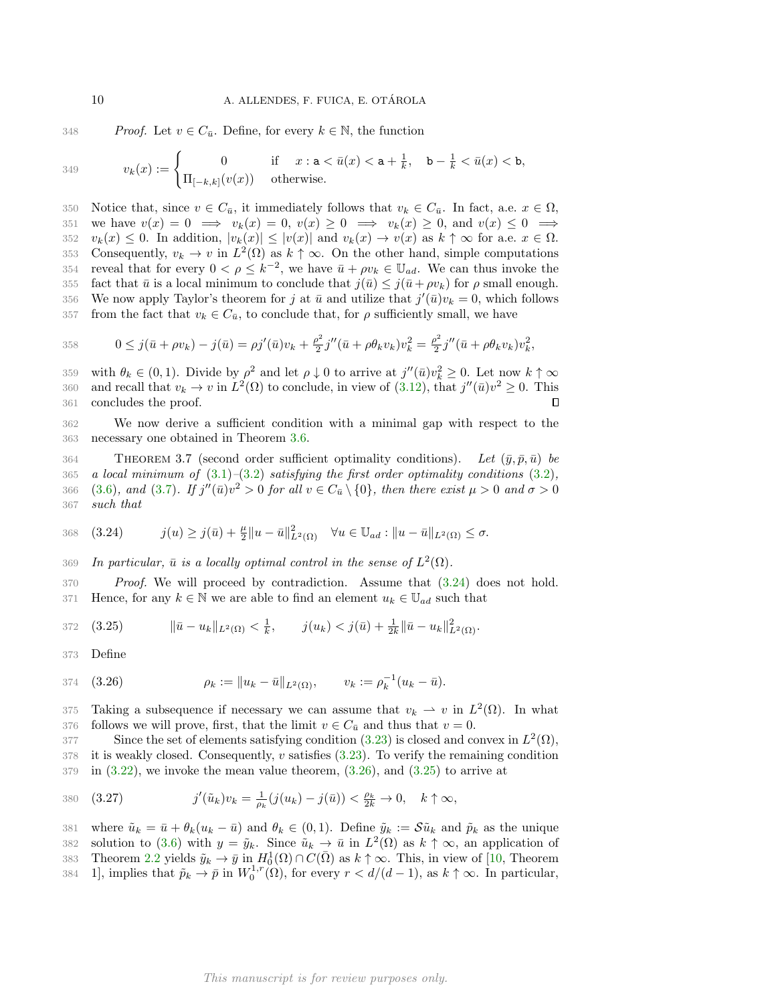348 Proof. Let  $v \in C_{\bar{u}}$ . Define, for every  $k \in \mathbb{N}$ , the function

349 
$$
v_k(x) := \begin{cases} 0 & \text{if } x : \mathbf{a} < \bar{u}(x) < \mathbf{a} + \frac{1}{k}, \mathbf{b} - \frac{1}{k} < \bar{u}(x) < \mathbf{b}, \\ \Pi_{[-k,k]}(v(x)) & \text{otherwise.} \end{cases}
$$

350 Notice that, since  $v \in C_{\bar{u}}$ , it immediately follows that  $v_k \in C_{\bar{u}}$ . In fact, a.e.  $x \in \Omega$ , 351 we have  $v(x) = 0 \implies v_k(x) = 0, v(x) \ge 0 \implies v_k(x) \ge 0,$  and  $v(x) \le 0 \implies$ 352  $v_k(x) \leq 0$ . In addition,  $|v_k(x)| \leq |v(x)|$  and  $v_k(x) \to v(x)$  as  $k \uparrow \infty$  for a.e.  $x \in \Omega$ . 353 Consequently,  $v_k \to v$  in  $L^2(\Omega)$  as  $k \uparrow \infty$ . On the other hand, simple computations 354 reveal that for every  $0 < \rho \leq k^{-2}$ , we have  $\bar{u} + \rho v_k \in \mathbb{U}_{ad}$ . We can thus invoke the 355 fact that  $\bar{u}$  is a local minimum to conclude that  $j(\bar{u}) \leq j(\bar{u} + \rho v_k)$  for  $\rho$  small enough. 356 We now apply Taylor's theorem for j at  $\bar{u}$  and utilize that  $j'(\bar{u})v_k = 0$ , which follows 357 from the fact that  $v_k \in C_{\bar{u}}$ , to conclude that, for  $\rho$  sufficiently small, we have

358 
$$
0 \leq j(\bar{u} + \rho v_k) - j(\bar{u}) = \rho j'(\bar{u})v_k + \frac{\rho^2}{2}j''(\bar{u} + \rho \theta_k v_k)v_k^2 = \frac{\rho^2}{2}j''(\bar{u} + \rho \theta_k v_k)v_k^2,
$$

359 with  $\theta_k \in (0,1)$ . Divide by  $\rho^2$  and let  $\rho \downarrow 0$  to arrive at  $j''(\bar{u})v_k^2 \geq 0$ . Let now  $k \uparrow \infty$ 360 and recall that  $v_k \to v$  in  $L^2(\Omega)$  to conclude, in view of  $(3.12)$ , that  $j''(\bar{u})v^2 \geq 0$ . This 361 concludes the proof.  $\Box$ 

362 We now derive a sufficient condition with a minimal gap with respect to the 363 necessary one obtained in Theorem [3.6.](#page-8-0)

<span id="page-9-0"></span>364 THEOREM 3.7 (second order sufficient optimality conditions). Let  $(\bar{y}, \bar{p}, \bar{u})$  be 365 a local minimum of  $(3.1)$ – $(3.2)$  satisfying the first order optimality conditions  $(3.2)$ , 366 [\(3.6\)](#page-5-1), and [\(3.7\)](#page-5-4). If  $j''(\bar{u})v^2 > 0$  for all  $v \in C_{\bar{u}} \setminus \{0\}$ , then there exist  $\mu > 0$  and  $\sigma > 0$ 367 such that

<span id="page-9-1"></span>368 (3.24) 
$$
j(u) \ge j(\bar{u}) + \frac{\mu}{2} ||u - \bar{u}||^2_{L^2(\Omega)} \quad \forall u \in \mathbb{U}_{ad} : ||u - \bar{u}||_{L^2(\Omega)} \le \sigma.
$$

369 In particular,  $\bar{u}$  is a locally optimal control in the sense of  $L^2(\Omega)$ .

370 Proof. We will proceed by contradiction. Assume that  $(3.24)$  does not hold. 371 Hence, for any  $k \in \mathbb{N}$  we are able to find an element  $u_k \in \mathbb{U}_{ad}$  such that

- <span id="page-9-3"></span>372 (3.25)  $\|\bar{u} - u_k\|_{L^2(\Omega)} < \frac{1}{k}, \quad j(u_k) < j(\bar{u}) + \frac{1}{2k}\|\bar{u} - u_k\|_{L^2(\Omega)}^2.$
- 373 Define

<span id="page-9-2"></span>374 (3.26) 
$$
\rho_k := \|u_k - \bar{u}\|_{L^2(\Omega)}, \qquad v_k := \rho_k^{-1}(u_k - \bar{u}).
$$

375 Taking a subsequence if necessary we can assume that  $v_k \rightharpoonup v$  in  $L^2(\Omega)$ . In what 376 follows we will prove, first, that the limit  $v \in C_{\bar{u}}$  and thus that  $v = 0$ .

Since the set of elements satisfying condition  $(3.23)$  is closed and convex in  $L^2(\Omega)$ , 378 it is weakly closed. Consequently, v satisfies [\(3.23\)](#page-8-4). To verify the remaining condition  $379$  in  $(3.22)$ , we invoke the mean value theorem,  $(3.26)$ , and  $(3.25)$  to arrive at

<span id="page-9-4"></span>380 (3.27) 
$$
j'(\tilde{u}_k)v_k = \frac{1}{\rho_k}(j(u_k) - j(\bar{u})) < \frac{\rho_k}{2k} \to 0, \quad k \uparrow \infty,
$$

381 where  $\tilde{u}_k = \bar{u} + \theta_k (u_k - \bar{u})$  and  $\theta_k \in (0, 1)$ . Define  $\tilde{y}_k := S \tilde{u}_k$  and  $\tilde{p}_k$  as the unique 382 solution to [\(3.6\)](#page-5-1) with  $y = \tilde{y}_k$ . Since  $\tilde{u}_k \to \bar{u}$  in  $L^2(\Omega)$  as  $k \uparrow \infty$ , an application of 383 Theorem [2.2](#page-3-6) yields  $\tilde{y}_k \to \bar{y}$  in  $H_0^1(\Omega) \cap C(\bar{\Omega})$  as  $k \uparrow \infty$ . This, in view of [\[10,](#page-23-5) Theorem

384 1], implies that  $\tilde{p}_k \to \bar{p}$  in  $W_0^{1,r}(\Omega)$ , for every  $r < d/(d-1)$ , as  $k \uparrow \infty$ . In particular,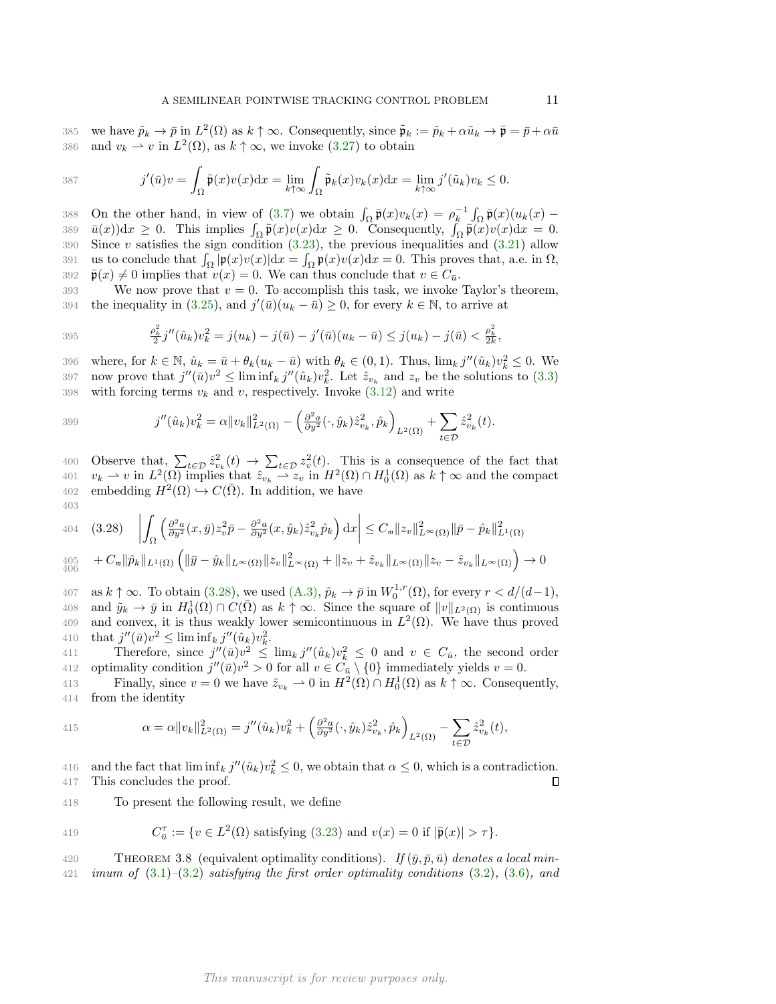385 we have  $\tilde{p}_k \to \bar{p}$  in  $L^2(\Omega)$  as  $k \uparrow \infty$ . Consequently, since  $\tilde{\mathfrak{p}}_k := \tilde{p}_k + \alpha \tilde{u}_k \to \bar{\mathfrak{p}} = \bar{p} + \alpha \bar{u}$ 386 and  $v_k \rightharpoonup v$  in  $L^2(\Omega)$ , as  $k \uparrow \infty$ , we invoke  $(3.27)$  to obtain

$$
387 \t j'(\bar{u})v = \int_{\Omega} \bar{\mathfrak{p}}(x)v(x)dx = \lim_{k \uparrow \infty} \int_{\Omega} \tilde{\mathfrak{p}}_k(x)v_k(x)dx = \lim_{k \uparrow \infty} j'(\tilde{u}_k)v_k \le 0.
$$

388 On the other hand, in view of [\(3.7\)](#page-5-4) we obtain  $\int_{\Omega} \bar{\mathfrak{p}}(x)v_k(x) = \rho_k^{-1} \int_{\Omega} \bar{\mathfrak{p}}(x)(u_k(x) -$ 389  $\bar{u}(x)dx \ge 0$ . This implies  $\int_{\Omega} \bar{\mathfrak{p}}(x)v(x)dx \ge 0$ . Consequently,  $\int_{\Omega} \bar{\mathfrak{p}}(x)v(x)dx = 0$ . 390 Since v satisfies the sign condition  $(3.23)$ , the previous inequalities and  $(3.21)$  allow 391 us to conclude that  $\int_{\Omega} |\mathfrak{p}(x)v(x)| dx = \int_{\Omega} \mathfrak{p}(x)v(x) dx = 0$ . This proves that, a.e. in  $\Omega$ , 392  $\bar{\mathfrak{p}}(x) \neq 0$  implies that  $v(x) = 0$ . We can thus conclude that  $v \in C_{\bar{u}}$ .

393 We now prove that  $v = 0$ . To accomplish this task, we invoke Taylor's theorem, 394 the inequality in [\(3.25\)](#page-9-3), and  $j'(\bar{u})(u_k - \bar{u}) \geq 0$ , for every  $k \in \mathbb{N}$ , to arrive at

395 
$$
\frac{\rho_k^2}{2}j''(\hat{u}_k)v_k^2 = j(u_k) - j(\bar{u}) - j'(\bar{u})(u_k - \bar{u}) \leq j(u_k) - j(\bar{u}) < \frac{\rho_k^2}{2k},
$$

396 where, for  $k \in \mathbb{N}$ ,  $\hat{u}_k = \bar{u} + \theta_k (u_k - \bar{u})$  with  $\theta_k \in (0, 1)$ . Thus,  $\lim_k j''(\hat{u}_k) v_k^2 \leq 0$ . We 397 now prove that  $j''(\bar{u})v^2 \leq \liminf_k j''(\hat{u}_k)v_k^2$ . Let  $\hat{z}_{v_k}$  and  $z_v$  be the solutions to [\(3.3\)](#page-4-1) 398 with forcing terms  $v_k$  and v, respectively. Invoke  $(3.12)$  and write

399 
$$
j''(\hat{u}_k)v_k^2 = \alpha \|v_k\|_{L^2(\Omega)}^2 - \left(\frac{\partial^2 a}{\partial y^2}(\cdot, \hat{y}_k)\hat{z}_{v_k}^2, \hat{p}_k\right)_{L^2(\Omega)} + \sum_{t \in \mathcal{D}} \hat{z}_{v_k}^2(t).
$$

400 Observe that,  $\sum_{t \in \mathcal{D}} \hat{z}_{v_k}^2(t) \to \sum_{t \in \mathcal{D}} z_v^2(t)$ . This is a consequence of the fact that 401  $v_k \rightharpoonup v$  in  $L^2(\Omega)$  implies that  $\hat{z}_{v_k} \rightharpoonup z_v$  in  $H^2(\Omega) \cap H_0^1(\Omega)$  as  $k \uparrow \infty$  and the compact 402 embedding  $H^2(\Omega) \hookrightarrow C(\overline{\Omega})$ . In addition, we have

<span id="page-10-0"></span>403  
\n404 (3.28) 
$$
\left| \int_{\Omega} \left( \frac{\partial^2 a}{\partial y^2} (x, \bar{y}) z_v^2 \bar{p} - \frac{\partial^2 a}{\partial y^2} (x, \hat{y}_k) \hat{z}_{v_k}^2 \hat{p}_k \right) dx \right| \leq C_m \|z_v\|_{L^{\infty}(\Omega)}^2 \|\bar{p} - \hat{p}_k\|_{L^1(\Omega)}^2
$$

$$
{}_{405}^{405} + C_{\mathfrak{m}} \|\hat{p}_k\|_{L^1(\Omega)} \left( \|\bar{y} - \hat{y}_k\|_{L^\infty(\Omega)} \|z_v\|_{L^\infty(\Omega)}^2 + \|z_v + \hat{z}_{v_k}\|_{L^\infty(\Omega)} \|z_v - \hat{z}_{v_k}\|_{L^\infty(\Omega)} \right) \to 0
$$

407 as  $k \uparrow \infty$ . To obtain [\(3.28\)](#page-10-0), we used [\(A.3\),](#page-2-4)  $\tilde{p}_k \to \bar{p}$  in  $W_0^{1,r}(\Omega)$ , for every  $r < d/(d-1)$ , 408 and  $\tilde{y}_k \to \bar{y}$  in  $H_0^1(\Omega) \cap C(\bar{\Omega})$  as  $k \uparrow \infty$ . Since the square of  $||v||_{L^2(\Omega)}$  is continuous 409 and convex, it is thus weakly lower semicontinuous in  $L^2(\Omega)$ . We have thus proved 410 that  $j''(\bar{u})v^2 \le \liminf_k j''(\hat{u}_k)v_k^2$ .

411 Therefore, since  $j''(\bar{u})v^2 \leq \lim_k j''(\hat{u}_k)v_k^2 \leq 0$  and  $v \in C_{\bar{u}}$ , the second order 412 optimality condition  $j''(\bar{u})v^2 > 0$  for all  $v \in C_{\bar{u}} \setminus \{0\}$  immediately yields  $v = 0$ .

413 Finally, since  $v = 0$  we have  $\hat{z}_{v_k} \to 0$  in  $H^2(\Omega) \cap H_0^1(\Omega)$  as  $k \uparrow \infty$ . Consequently, 414 from the identity

415 
$$
\alpha = \alpha \|v_k\|_{L^2(\Omega)}^2 = j''(\hat{u}_k)v_k^2 + \left(\frac{\partial^2 a}{\partial y^2}(\cdot, \hat{y}_k)\hat{z}_{v_k}^2, \hat{p}_k\right)_{L^2(\Omega)} - \sum_{t \in \mathcal{D}} \hat{z}_{v_k}^2(t),
$$

416 and the fact that  $\liminf_k j''(\hat{u}_k)v_k^2 \leq 0$ , we obtain that  $\alpha \leq 0$ , which is a contradiction. 417 This concludes the proof.  $\Box$ 

418 To present the following result, we define

419 
$$
C_{\bar{u}}^{\tau} := \{ v \in L^2(\Omega) \text{ satisfying (3.23) and } v(x) = 0 \text{ if } |\bar{\mathfrak{p}}(x)| > \tau \}.
$$

420 THEOREM 3.8 (equivalent optimality conditions). If  $(\bar{y}, \bar{p}, \bar{u})$  denotes a local min-421 imum of  $(3.1)$ – $(3.2)$  satisfying the first order optimality conditions  $(3.2)$ ,  $(3.6)$ , and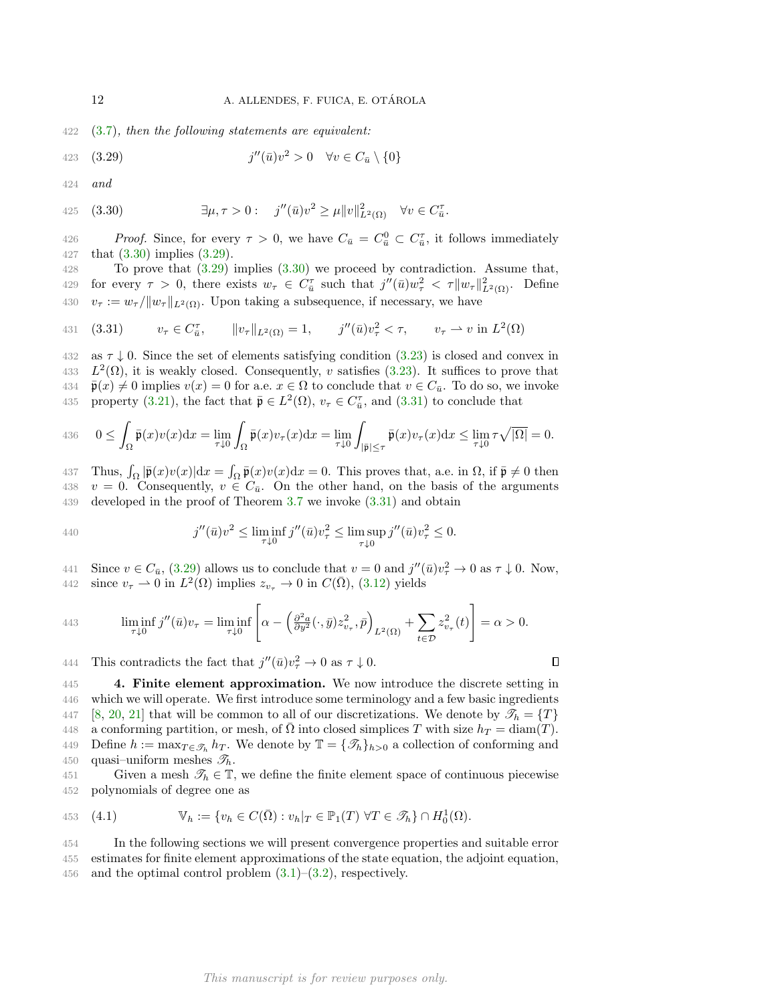422 [\(3.7\)](#page-5-4), then the following statements are equivalent:

<span id="page-11-2"></span>423 (3.29) 
$$
j''(\bar{u})v^2 > 0 \quad \forall v \in C_{\bar{u}} \setminus \{0\}
$$

 $424$  and

<span id="page-11-1"></span>425 (3.30) 
$$
\exists \mu, \tau > 0: \quad j''(\bar{u})v^2 \ge \mu \|v\|_{L^2(\Omega)}^2 \quad \forall v \in C_{\bar{u}}^{\tau}.
$$

426 Proof. Since, for every  $\tau > 0$ , we have  $C_{\bar{u}} = C_{\bar{u}}^0 \subset C_{\bar{u}}^{\tau}$ , it follows immediately 427 that [\(3.30\)](#page-11-1) implies [\(3.29\)](#page-11-2).

428 To prove that [\(3.29\)](#page-11-2) implies [\(3.30\)](#page-11-1) we proceed by contradiction. Assume that, 429 for every  $\tau > 0$ , there exists  $w_{\tau} \in C_{\bar{u}}^{\tau}$  such that  $j''(\bar{u})w_{\tau}^2 < \tau \|w_{\tau}\|_{L^2(\Omega)}^2$ . Define 430  $v_{\tau} := w_{\tau}/||w_{\tau}||_{L^2(\Omega)}$ . Upon taking a subsequence, if necessary, we have

<span id="page-11-3"></span>431 (3.31) 
$$
v_{\tau} \in C_{\bar{u}}^{\tau}
$$
,  $||v_{\tau}||_{L^{2}(\Omega)} = 1$ ,  $j''(\bar{u})v_{\tau}^{2} < \tau$ ,  $v_{\tau} \to v$  in  $L^{2}(\Omega)$ 

432 as  $\tau \downarrow 0$ . Since the set of elements satisfying condition [\(3.23\)](#page-8-4) is closed and convex in 433  $L^2(\Omega)$ , it is weakly closed. Consequently, v satisfies [\(3.23\)](#page-8-4). It suffices to prove that 434  $\bar{\mathfrak{p}}(x) \neq 0$  implies  $v(x) = 0$  for a.e.  $x \in \Omega$  to conclude that  $v \in C_{\bar{u}}$ . To do so, we invoke 435 property [\(3.21\)](#page-8-6), the fact that  $\bar{\mathfrak{p}} \in L^2(\Omega)$ ,  $v_\tau \in C^{\tau}_{\bar{u}}$ , and [\(3.31\)](#page-11-3) to conclude that

436 
$$
0 \leq \int_{\Omega} \bar{\mathfrak{p}}(x)v(x)dx = \lim_{\tau \downarrow 0} \int_{\Omega} \bar{\mathfrak{p}}(x)v_{\tau}(x)dx = \lim_{\tau \downarrow 0} \int_{|\bar{\mathfrak{p}}| \leq \tau} \bar{\mathfrak{p}}(x)v_{\tau}(x)dx \leq \lim_{\tau \downarrow 0} \tau \sqrt{|\Omega|} = 0.
$$

437 Thus,  $\int_{\Omega} |\bar{\mathfrak{p}}(x)v(x)| dx = \int_{\Omega} \bar{\mathfrak{p}}(x)v(x) dx = 0$ . This proves that, a.e. in  $\Omega$ , if  $\bar{\mathfrak{p}} \neq 0$  then 438 v = 0. Consequently,  $v \in C_{\bar{u}}$ . On the other hand, on the basis of the arguments 439 developed in the proof of Theorem [3.7](#page-9-0) we invoke [\(3.31\)](#page-11-3) and obtain

440 
$$
j''(\bar{u})v^2 \le \liminf_{\tau \downarrow 0} j''(\bar{u})v^2_{\tau} \le \limsup_{\tau \downarrow 0} j''(\bar{u})v^2_{\tau} \le 0.
$$

441 Since  $v \in C_{\bar{u}}$ , [\(3.29\)](#page-11-2) allows us to conclude that  $v = 0$  and  $j''(\bar{u})v_{\tau}^2 \to 0$  as  $\tau \downarrow 0$ . Now, 442 since  $v_{\tau} \rightharpoonup 0$  in  $L^2(\Omega)$  implies  $z_{v_{\tau}} \to 0$  in  $C(\overline{\Omega})$ , ([3.12\)](#page-6-2) yields

$$
\liminf_{\tau \downarrow 0} j''(\bar{u})v_{\tau} = \liminf_{\tau \downarrow 0} \left[ \alpha - \left( \frac{\partial^2 a}{\partial y^2} (\cdot, \bar{y}) z_{v_{\tau}}^2, \bar{p} \right)_{L^2(\Omega)} + \sum_{t \in \mathcal{D}} z_{v_{\tau}}^2(t) \right] = \alpha > 0.
$$

444 This contradicts the fact that  $j''(\bar{u})v_\tau^2 \to 0$  as  $\tau \downarrow 0$ .

<span id="page-11-0"></span>445 4. Finite element approximation. We now introduce the discrete setting in 446 which we will operate. We first introduce some terminology and a few basic ingredients 447 [\[8,](#page-23-8) [20,](#page-24-12) [21\]](#page-24-13) that will be common to all of our discretizations. We denote by  $\mathcal{I}_h = \{T\}$ 448 a conforming partition, or mesh, of  $\overline{\Omega}$  into closed simplices T with size  $h_T = \text{diam}(T)$ . 449 Define  $h := \max_{T \in \mathcal{T}_h} h_T$ . We denote by  $\mathbb{T} = {\{\mathcal{T}_h\}}_{h>0}$  a collection of conforming and 450 quasi-uniform meshes  $\mathscr{T}_h$ .

451 Given a mesh  $\mathcal{T}_h \in \mathbb{T}$ , we define the finite element space of continuous piecewise 452 polynomials of degree one as

<span id="page-11-4"></span>453 (4.1) 
$$
\mathbb{V}_h := \{ v_h \in C(\overline{\Omega}) : v_h|_T \in \mathbb{P}_1(T) \ \forall T \in \mathcal{F}_h \} \cap H_0^1(\Omega).
$$

454 In the following sections we will present convergence properties and suitable error 455 estimates for finite element approximations of the state equation, the adjoint equation, 456 and the optimal control problem  $(3.1)$ – $(3.2)$ , respectively.

$$
\Box
$$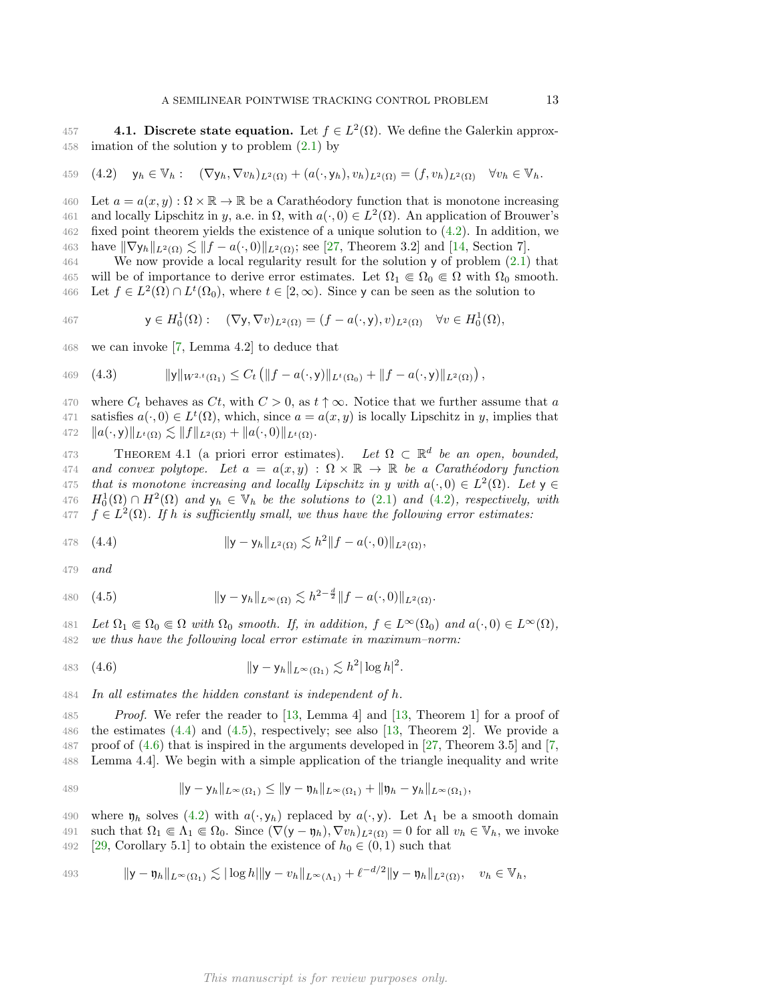457 **4.1. Discrete state equation.** Let  $f \in L^2(\Omega)$ . We define the Galerkin approx-458 imation of the solution y to problem  $(2.1)$  by

<span id="page-12-1"></span>459 
$$
(4.2) \quad \mathsf{y}_h \in \mathbb{V}_h: \quad (\nabla \mathsf{y}_h, \nabla v_h)_{L^2(\Omega)} + (a(\cdot, \mathsf{y}_h), v_h)_{L^2(\Omega)} = (f, v_h)_{L^2(\Omega)} \quad \forall v_h \in \mathbb{V}_h.
$$

460 Let  $a = a(x, y) : \Omega \times \mathbb{R} \to \mathbb{R}$  be a Carathéodory function that is monotone increasing 461 and locally Lipschitz in y, a.e. in  $\Omega$ , with  $a(\cdot, 0) \in L^2(\Omega)$ . An application of Brouwer's 462 fixed point theorem yields the existence of a unique solution to [\(4.2\)](#page-12-1). In addition, we 463 have  $\|\nabla \mathsf{y}_h\|_{L^2(\Omega)} \lesssim \|f - a(\cdot, 0)\|_{L^2(\Omega)}$ ; see [\[27,](#page-24-14) Theorem 3.2] and [\[14,](#page-24-0) Section 7].

464 We now provide a local regularity result for the solution y of problem [\(2.1\)](#page-3-1) that 465 will be of importance to derive error estimates. Let  $\Omega_1 \n\in \Omega_0 \n\in \Omega$  with  $\Omega_0$  smooth. 466 Let  $f \in L^2(\Omega) \cap L^t(\Omega_0)$ , where  $t \in [2, \infty)$ . Since y can be seen as the solution to

467 
$$
\mathsf{y} \in H_0^1(\Omega): (\nabla \mathsf{y}, \nabla v)_{L^2(\Omega)} = (f - a(\cdot, \mathsf{y}), v)_{L^2(\Omega)} \quad \forall v \in H_0^1(\Omega),
$$

468 we can invoke [\[7,](#page-23-3) Lemma 4.2] to deduce that

<span id="page-12-5"></span>469 (4.3) 
$$
\|y\|_{W^{2,t}(\Omega_1)} \leq C_t \left( \|f - a(\cdot, y)\|_{L^t(\Omega_0)} + \|f - a(\cdot, y)\|_{L^2(\Omega)} \right),
$$

470 where  $C_t$  behaves as  $C_t$ , with  $C > 0$ , as  $t \uparrow \infty$ . Notice that we further assume that a 471 satisfies  $a(\cdot, 0) \in L^t(\Omega)$ , which, since  $a = a(x, y)$  is locally Lipschitz in y, implies that 472  $\|a(\cdot, y)\|_{L^t(\Omega)} \lesssim \|f\|_{L^2(\Omega)} + \|a(\cdot, 0)\|_{L^t(\Omega)}.$ 

<span id="page-12-0"></span>473 THEOREM 4.1 (a priori error estimates). Let  $\Omega \subset \mathbb{R}^d$  be an open, bounded, 474 and convex polytope. Let  $a = a(x, y) : \Omega \times \mathbb{R} \to \mathbb{R}$  be a Carathéodory function 475 that is monotone increasing and locally Lipschitz in y with  $a(\cdot,0) \in L^2(\Omega)$ . Let  $y \in$ 476  $H_0^1(\Omega) \cap H^2(\Omega)$  and  $y_h \in V_h$  be the solutions to [\(2.1\)](#page-3-1) and [\(4.2\)](#page-12-1), respectively, with 477  $f \in L^2(\Omega)$ . If h is sufficiently small, we thus have the following error estimates:

<span id="page-12-2"></span>478 (4.4) 
$$
\|y - y_h\|_{L^2(\Omega)} \lesssim h^2 \|f - a(\cdot, 0)\|_{L^2(\Omega)},
$$

479 and

<span id="page-12-3"></span>480 (4.5) 
$$
\|y - y_h\|_{L^{\infty}(\Omega)} \lesssim h^{2-\frac{d}{2}} \|f - a(\cdot, 0)\|_{L^2(\Omega)}.
$$

481 Let  $\Omega_1 \subseteq \Omega_0 \subseteq \Omega$  with  $\Omega_0$  smooth. If, in addition,  $f \in L^{\infty}(\Omega_0)$  and  $a(\cdot, 0) \in L^{\infty}(\Omega)$ , 482 we thus have the following local error estimate in maximum–norm:

<span id="page-12-4"></span>483 (4.6) 
$$
\|y - y_h\|_{L^{\infty}(\Omega_1)} \lesssim h^2 |\log h|^2.
$$

484 In all estimates the hidden constant is independent of h.

 Proof. We refer the reader to [\[13,](#page-24-15) Lemma 4] and [\[13,](#page-24-15) Theorem 1] for a proof of the estimates [\(4.4\)](#page-12-2) and [\(4.5\)](#page-12-3), respectively; see also [\[13,](#page-24-15) Theorem 2]. We provide a proof of [\(4.6\)](#page-12-4) that is inspired in the arguments developed in [\[27,](#page-24-14) Theorem 3.5] and [\[7,](#page-23-3) Lemma 4.4]. We begin with a simple application of the triangle inequality and write

489 
$$
\|y - y_h\|_{L^{\infty}(\Omega_1)} \le \|y - \eta_h\|_{L^{\infty}(\Omega_1)} + \|\eta_h - y_h\|_{L^{\infty}(\Omega_1)},
$$

490 where  $\mathfrak{y}_h$  solves [\(4.2\)](#page-12-1) with  $a(\cdot, y_h)$  replaced by  $a(\cdot, y)$ . Let  $\Lambda_1$  be a smooth domain

491 such that  $\Omega_1 \subseteq \Lambda_1 \subseteq \Omega_0$ . Since  $(\nabla(y - \eta_h), \nabla v_h)_{L^2(\Omega)} = 0$  for all  $v_h \in V_h$ , we invoke

492 [\[29,](#page-24-16) Corollary 5.1] to obtain the existence of  $h_0 \in (0,1)$  such that

493 
$$
\| \mathbf{y} - \mathbf{\mathfrak{y}}_h \|_{L^{\infty}(\Omega_1)} \lesssim |\log h| \| \mathbf{y} - v_h \|_{L^{\infty}(\Lambda_1)} + \ell^{-d/2} \| \mathbf{y} - \mathbf{\mathfrak{y}}_h \|_{L^2(\Omega)}, \quad v_h \in \mathbb{V}_h,
$$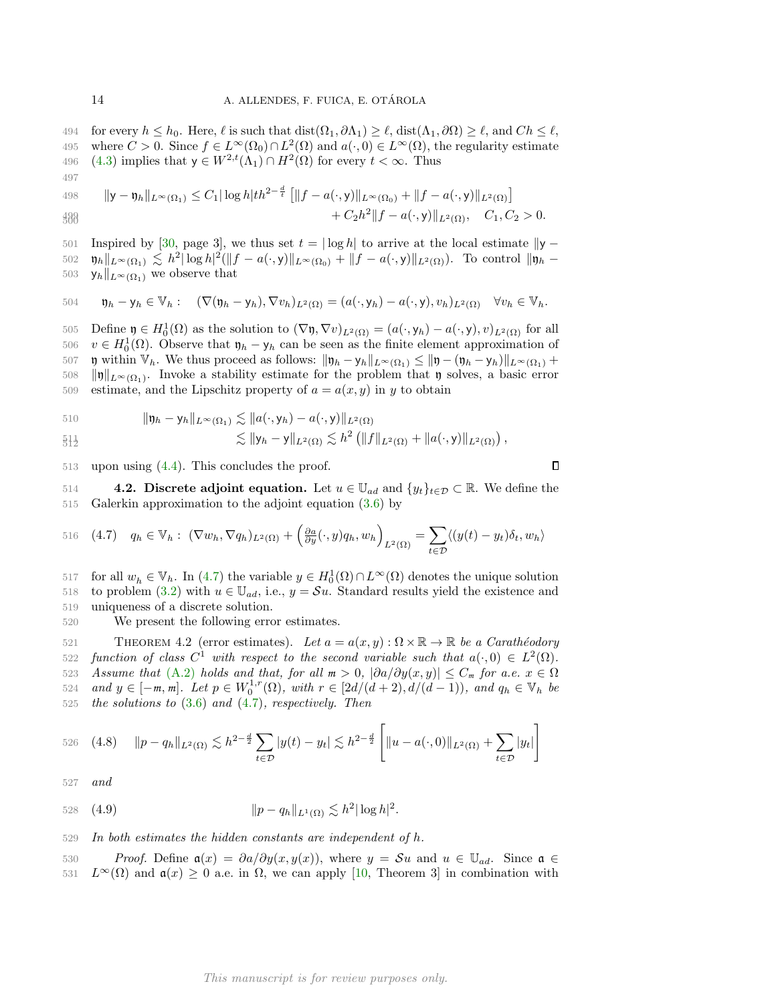494 for every  $h \leq h_0$ . Here,  $\ell$  is such that  $dist(\Omega_1, \partial \Lambda_1) \geq \ell$ , dist $(\Lambda_1, \partial \Omega) \geq \ell$ , and  $Ch \leq \ell$ , 495 where  $C > 0$ . Since  $f \in L^{\infty}(\Omega_0) \cap L^2(\Omega)$  and  $a(\cdot, 0) \in L^{\infty}(\Omega)$ , the regularity estimate 496 [\(4.3\)](#page-12-5) implies that  $y \in W^{2,t}(\Lambda_1) \cap H^2(\Omega)$  for every  $t < \infty$ . Thus

$$
498 \t ||y - \mathfrak{y}_h||_{L^{\infty}(\Omega_1)} \leq C_1 |\log h| t h^{2 - \frac{d}{t}} \left[ ||f - a(\cdot, y)||_{L^{\infty}(\Omega_0)} + ||f - a(\cdot, y)||_{L^2(\Omega)} \right] + C_2 h^2 ||f - a(\cdot, y)||_{L^2(\Omega)}, \quad C_1, C_2 > 0.
$$

501 Inspired by [\[30,](#page-24-17) page 3], we thus set  $t = |\log h|$  to arrive at the local estimate  $||y \mathfrak{g}_{b|l}$   $\mathfrak{h}_{h}$   $\mathfrak{h}_{L^{\infty}(\Omega_{1})} \lesssim h^{2}|\log h|^{2}(\Vert f - a(\cdot, y)\Vert_{L^{\infty}(\Omega_{0})} + \Vert f - a(\cdot, y)\Vert_{L^{2}(\Omega)}).$  To control  $\Vert \mathfrak{y}_{h}$  -503  $y_h||_{L^\infty(\Omega_1)}$  we observe that

504 
$$
\mathfrak{y}_h - \mathfrak{y}_h \in \mathbb{V}_h
$$
:  $(\nabla(\mathfrak{y}_h - \mathfrak{y}_h), \nabla v_h)_{L^2(\Omega)} = (a(\cdot, \mathfrak{y}_h) - a(\cdot, \mathfrak{y}), v_h)_{L^2(\Omega)} \quad \forall v_h \in \mathbb{V}_h$ .

505 Define  $\mathfrak{y} \in H_0^1(\Omega)$  as the solution to  $(\nabla \mathfrak{y}, \nabla v)_{L^2(\Omega)} = (a(\cdot, y_h) - a(\cdot, y), v)_{L^2(\Omega)}$  for all 506  $v \in H_0^1(\Omega)$ . Observe that  $\mathfrak{y}_h - \mathfrak{y}_h$  can be seen as the finite element approximation of 507 **y** within  $V_h$ . We thus proceed as follows:  $\|\mathbf{y}_h - \mathbf{y}_h\|_{L^\infty(\Omega_1)} \le \|\mathbf{y} - (\mathbf{y}_h - \mathbf{y}_h)\|_{L^\infty(\Omega_1)} +$ 508  $\|\mathfrak{y}\|_{L^{\infty}(\Omega_1)}$ . Invoke a stability estimate for the problem that y solves, a basic error 509 estimate, and the Lipschitz property of  $a = a(x, y)$  in y to obtain

510 
$$
\|\mathbf{y}_h - \mathbf{y}_h\|_{L^{\infty}(\Omega_1)} \lesssim \|a(\cdot, \mathbf{y}_h) - a(\cdot, \mathbf{y})\|_{L^2(\Omega)}
$$

$$
\lesssim \|y_h - y\|_{L^2(\Omega)} \lesssim h^2 \left( \|f\|_{L^2(\Omega)} + \|a(\cdot, y)\|_{L^2(\Omega)} \right),
$$

513 upon using [\(4.4\)](#page-12-2). This concludes the proof.

514 **4.2.** Discrete adjoint equation. Let  $u \in \mathbb{U}_{ad}$  and  $\{y_t\}_{t \in \mathcal{D}} \subset \mathbb{R}$ . We define the 515 Galerkin approximation to the adjoint equation [\(3.6\)](#page-5-1) by

<span id="page-13-0"></span>516 (4.7) 
$$
q_h \in \mathbb{V}_h: (\nabla w_h, \nabla q_h)_{L^2(\Omega)} + \left(\frac{\partial a}{\partial y}(\cdot, y) q_h, w_h\right)_{L^2(\Omega)} = \sum_{t \in \mathcal{D}} \langle (y(t) - y_t) \delta_t, w_h \rangle
$$

517 for all  $w_h \in \mathbb{V}_h$ . In [\(4.7\)](#page-13-0) the variable  $y \in H_0^1(\Omega) \cap L^\infty(\Omega)$  denotes the unique solution 518 to problem [\(3.2\)](#page-3-3) with  $u \in \mathbb{U}_{ad}$ , i.e.,  $y = \mathcal{S}u$ . Standard results yield the existence and 519 uniqueness of a discrete solution.

520 We present the following error estimates.

521 THEOREM 4.2 (error estimates). Let  $a = a(x, y) : \Omega \times \mathbb{R} \to \mathbb{R}$  be a Carathéodory 522 function of class  $C^1$  with respect to the second variable such that  $a(\cdot,0) \in L^2(\Omega)$ . 523 Assume that [\(A.2\)](#page-2-2) holds and that, for all  $m > 0$ ,  $|\partial a/\partial y(x, y)| \leq C_m$  for a.e.  $x \in \Omega$ 524 and  $y \in [-m, m]$ . Let  $p \in W_0^{1,r}(\Omega)$ , with  $r \in [2d/(d+2), d/(d-1))$ , and  $q_h \in V_h$  be  $525$  the solutions to  $(3.6)$  and  $(4.7)$ , respectively. Then

<span id="page-13-1"></span>526 (4.8) 
$$
||p - q_h||_{L^2(\Omega)} \lesssim h^{2 - \frac{d}{2}} \sum_{t \in \mathcal{D}} |y(t) - y_t| \lesssim h^{2 - \frac{d}{2}} \left[ ||u - a(\cdot, 0)||_{L^2(\Omega)} + \sum_{t \in \mathcal{D}} |y_t| \right]
$$

<span id="page-13-2"></span>527 and

528 (4.9) 
$$
||p - q_h||_{L^1(\Omega)} \lesssim h^2 |\log h|^2.
$$

 $529$  In both estimates the hidden constants are independent of h.

530 Proof. Define  $\mathfrak{a}(x) = \partial a/\partial y(x, y(x))$ , where  $y = \mathcal{S}u$  and  $u \in \mathbb{U}_{ad}$ . Since  $\mathfrak{a} \in$ 531  $L^{\infty}(\Omega)$  and  $\mathfrak{a}(x) \geq 0$  a.e. in  $\Omega$ , we can apply [\[10,](#page-23-5) Theorem 3] in combination with

497

 $\Box$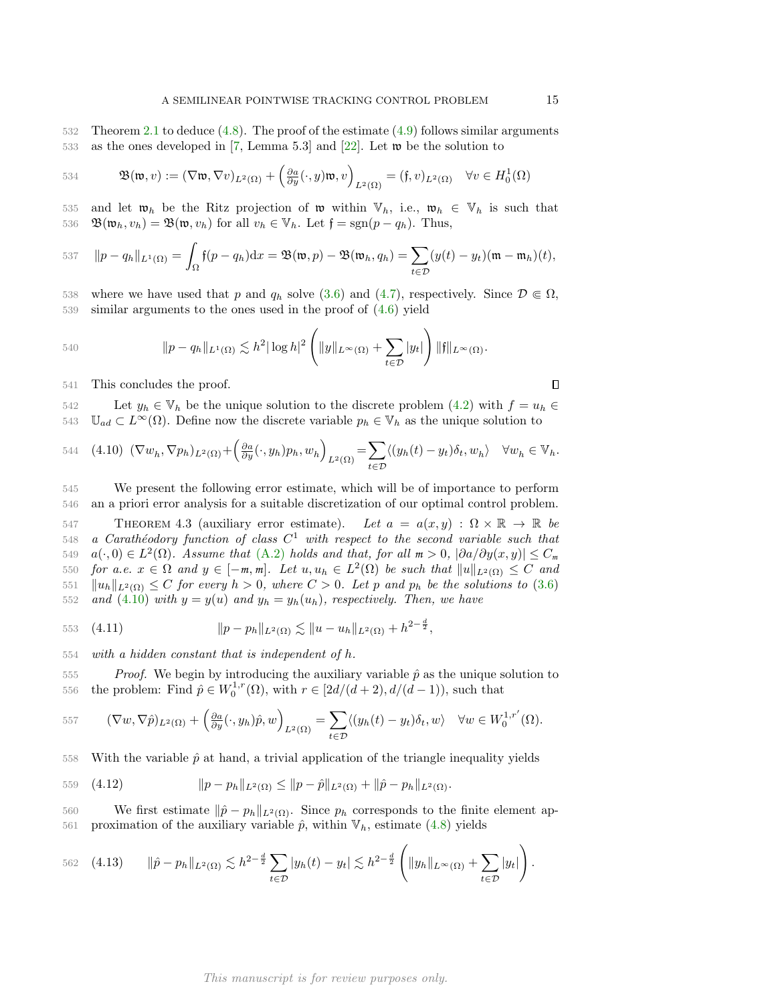532 Theorem [2.1](#page-3-2) to deduce [\(4.8\)](#page-13-1). The proof of the estimate [\(4.9\)](#page-13-2) follows similar arguments 533 as the ones developed in [\[7,](#page-23-3) Lemma 5.3] and [\[22\]](#page-24-18). Let w be the solution to

534 
$$
\mathfrak{B}(\mathfrak{w},v) := (\nabla \mathfrak{w}, \nabla v)_{L^2(\Omega)} + \left(\frac{\partial a}{\partial y}(\cdot, y)\mathfrak{w}, v\right)_{L^2(\Omega)} = (\mathfrak{f},v)_{L^2(\Omega)} \quad \forall v \in H_0^1(\Omega)
$$

535 and let  $\mathfrak{w}_h$  be the Ritz projection of  $\mathfrak{w}$  within  $\mathbb{V}_h$ , i.e.,  $\mathfrak{w}_h \in \mathbb{V}_h$  is such that 536  $\mathfrak{B}(\mathfrak{w}_h, v_h) = \mathfrak{B}(\mathfrak{w}, v_h)$  for all  $v_h \in \mathbb{V}_h$ . Let  $\mathfrak{f} = \text{sgn}(p - q_h)$ . Thus,

537 
$$
\|p - q_h\|_{L^1(\Omega)} = \int_{\Omega} \mathfrak{f}(p - q_h) dx = \mathfrak{B}(\mathfrak{w}, p) - \mathfrak{B}(\mathfrak{w}_h, q_h) = \sum_{t \in \mathcal{D}} (y(t) - y_t)(\mathfrak{m} - \mathfrak{m}_h)(t),
$$

538 where we have used that p and  $q_h$  solve [\(3.6\)](#page-5-1) and [\(4.7\)](#page-13-0), respectively. Since  $\mathcal{D} \in \Omega$ , 539 similar arguments to the ones used in the proof of [\(4.6\)](#page-12-4) yield

$$
540 \qquad \qquad ||p - q_h||_{L^1(\Omega)} \lesssim h^2 |\log h|^2 \left( ||y||_{L^{\infty}(\Omega)} + \sum_{t \in \mathcal{D}} |y_t| \right) ||f||_{L^{\infty}(\Omega)}.
$$

541 This concludes the proof.

542 Let  $y_h \in \mathbb{V}_h$  be the unique solution to the discrete problem [\(4.2\)](#page-12-1) with  $f = u_h \in$ 543  $\mathbb{U}_{ad} \subset L^{\infty}(\Omega)$ . Define now the discrete variable  $p_h \in \mathbb{V}_h$  as the unique solution to

<span id="page-14-0"></span>544 
$$
(4.10) \ \ (\nabla w_h, \nabla p_h)_{L^2(\Omega)} + \left(\frac{\partial a}{\partial y}(\cdot, y_h) p_h, w_h\right)_{L^2(\Omega)} = \sum_{t \in \mathcal{D}} \langle (y_h(t) - y_t) \delta_t, w_h \rangle \quad \forall w_h \in \mathbb{V}_h.
$$

545 We present the following error estimate, which will be of importance to perform 546 an a priori error analysis for a suitable discretization of our optimal control problem.

<span id="page-14-4"></span>547 THEOREM 4.3 (auxiliary error estimate). Let  $a = a(x, y) : \Omega \times \mathbb{R} \to \mathbb{R}$  be 548 a Carathéodory function of class  $C^1$  with respect to the second variable such that 549  $a(\cdot, 0) \in L^2(\Omega)$ . Assume that [\(A.2\)](#page-2-2) holds and that, for all  $m > 0$ ,  $|\partial a/\partial y(x, y)| \leq C_m$ 550 for a.e.  $x \in \Omega$  and  $y \in [-m, m]$ . Let  $u, u_h \in L^2(\Omega)$  be such that  $||u||_{L^2(\Omega)} \leq C$  and 551  $\|u_h\|_{L^2(\Omega)} \leq C$  for every  $h > 0$ , where  $C > 0$ . Let p and  $p_h$  be the solutions to [\(3.6\)](#page-5-1) 552 and [\(4.10\)](#page-14-0) with  $y = y(u)$  and  $y_h = y_h(u_h)$ , respectively. Then, we have

<span id="page-14-3"></span>553 (4.11) 
$$
||p - p_h||_{L^2(\Omega)} \lesssim ||u - u_h||_{L^2(\Omega)} + h^{2 - \frac{d}{2}},
$$

554 with a hidden constant that is independent of h.

 $555$  Proof. We begin by introducing the auxiliary variable  $\hat{p}$  as the unique solution to 556 the problem: Find  $\hat{p} \in W_0^{1,r}(\Omega)$ , with  $r \in [2d/(d+2), d/(d-1))$ , such that

557 
$$
(\nabla w, \nabla \hat{p})_{L^2(\Omega)} + \left(\frac{\partial a}{\partial y}(\cdot, y_h)\hat{p}, w\right)_{L^2(\Omega)} = \sum_{t \in \mathcal{D}} \langle (y_h(t) - y_t)\delta_t, w \rangle \quad \forall w \in W_0^{1,r'}(\Omega).
$$

558 With the variable  $\hat{p}$  at hand, a trivial application of the triangle inequality yields

<span id="page-14-2"></span>559 
$$
(4.12) \t\t ||p-p_h||_{L^2(\Omega)} \le ||p-\hat{p}||_{L^2(\Omega)} + ||\hat{p}-p_h||_{L^2(\Omega)}.
$$

560 We first estimate  $\|\hat{p} - p_h\|_{L^2(\Omega)}$ . Since  $p_h$  corresponds to the finite element ap-561 proximation of the auxiliary variable  $\hat{p}$ , within  $V_h$ , estimate [\(4.8\)](#page-13-1) yields

<span id="page-14-1"></span>562 (4.13) 
$$
\|\hat{p} - p_h\|_{L^2(\Omega)} \lesssim h^{2-\frac{d}{2}} \sum_{t \in \mathcal{D}} |y_h(t) - y_t| \lesssim h^{2-\frac{d}{2}} \left( \|y_h\|_{L^\infty(\Omega)} + \sum_{t \in \mathcal{D}} |y_t| \right).
$$

 $\Box$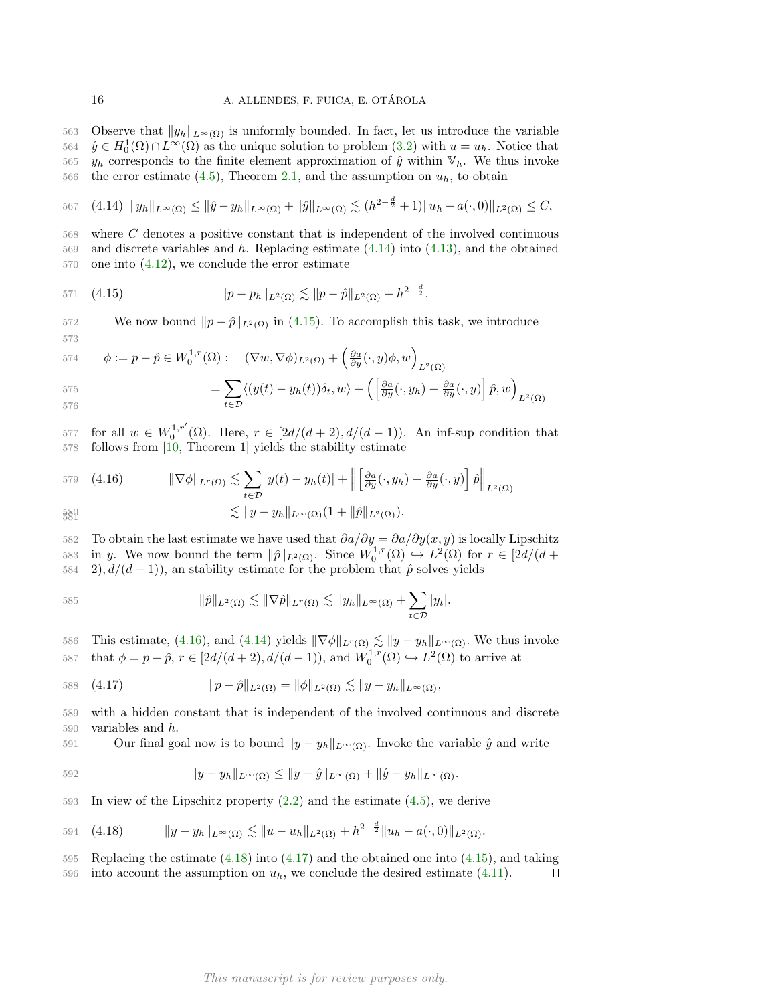563 Observe that  $||y_h||_{L^{\infty}(\Omega)}$  is uniformly bounded. In fact, let us introduce the variable 564  $\hat{y} \in H_0^1(\Omega) \cap L^\infty(\Omega)$  as the unique solution to problem  $(3.2)$  with  $u = u_h$ . Notice that 565  $y_h$  corresponds to the finite element approximation of  $\hat{y}$  within  $\mathbb{V}_h$ . We thus invoke 566 the error estimate [\(4.5\)](#page-12-3), Theorem [2.1,](#page-3-2) and the assumption on  $u_h$ , to obtain

<span id="page-15-0"></span>
$$
567 \quad (4.14) \quad \|y_h\|_{L^{\infty}(\Omega)} \le \| \hat{y} - y_h\|_{L^{\infty}(\Omega)} + \|\hat{y}\|_{L^{\infty}(\Omega)} \lesssim (h^{2-\frac{d}{2}} + 1) \|u_h - a(\cdot,0)\|_{L^2(\Omega)} \le C,
$$

568 where C denotes a positive constant that is independent of the involved continuous 569 and discrete variables and h. Replacing estimate [\(4.14\)](#page-15-0) into [\(4.13\)](#page-14-1), and the obtained  $570$  one into  $(4.12)$ , we conclude the error estimate

<span id="page-15-1"></span>571 (4.15) 
$$
||p - p_h||_{L^2(\Omega)} \lesssim ||p - \hat{p}||_{L^2(\Omega)} + h^{2 - \frac{d}{2}}.
$$

572 We now bound  $||p - \hat{p}||_{L^2(\Omega)}$  in [\(4.15\)](#page-15-1). To accomplish this task, we introduce 573

575  
\n
$$
\phi := p - \hat{p} \in W_0^{1,r}(\Omega): \quad (\nabla w, \nabla \phi)_{L^2(\Omega)} + \left(\frac{\partial a}{\partial y}(\cdot, y)\phi, w\right)_{L^2(\Omega)}
$$
\n575  
\n
$$
= \sum_{t \in \mathcal{D}} \langle (y(t) - y_h(t))\delta_t, w \rangle + \left(\left[\frac{\partial a}{\partial y}(\cdot, y_h) - \frac{\partial a}{\partial y}(\cdot, y)\right]\hat{p}, w\right)_{L^2(\Omega)}
$$

$$
576\,
$$

577 for all  $w \in W_0^{1,r'}(\Omega)$ . Here,  $r \in [2d/(d+2), d/(d-1))$ . An inf-sup condition that 578 follows from [\[10,](#page-23-5) Theorem 1] yields the stability estimate

<span id="page-15-2"></span>579 (4.16) 
$$
\|\nabla \phi\|_{L^r(\Omega)} \lesssim \sum_{t \in \mathcal{D}} |y(t) - y_h(t)| + \left\| \left[ \frac{\partial a}{\partial y}(\cdot, y_h) - \frac{\partial a}{\partial y}(\cdot, y) \right] \hat{p} \right\|_{L^2(\Omega)}
$$

$$
\lesssim \|y-y_h\|_{L^\infty(\Omega)}(1+\|\hat{p}\|_{L^2(\Omega)}).
$$

582 To obtain the last estimate we have used that  $\partial a/\partial y = \partial a/\partial y(x, y)$  is locally Lipschitz 583 in y. We now bound the term  $\|\hat{p}\|_{L^2(\Omega)}$ . Since  $W_0^{1,r}(\Omega) \to L^2(\Omega)$  for  $r \in [2d/(d+1)]$ 584 2),  $d/(d-1)$ , an stability estimate for the problem that  $\hat{p}$  solves yields

$$
585\,
$$

$$
\|\hat{p}\|_{L^2(\Omega)} \lesssim \|\nabla \hat{p}\|_{L^r(\Omega)} \lesssim \|y_h\|_{L^\infty(\Omega)} + \sum_{t \in \mathcal{D}} |y_t|.
$$

This estimate, [\(4.16\)](#page-15-2), and [\(4.14\)](#page-15-0) yields  $\|\nabla \phi\|_{L^r(\Omega)} \lesssim \|y - y_h\|_{L^{\infty}(\Omega)}$ . We thus invoke 587 that  $\phi = p - \hat{p}$ ,  $r \in [2d/(d+2), d/(d-1))$ , and  $W_0^{1,r}(\Omega) \hookrightarrow L^2(\Omega)$  to arrive at

<span id="page-15-4"></span>588 (4.17) 
$$
||p - \hat{p}||_{L^2(\Omega)} = ||\phi||_{L^2(\Omega)} \lesssim ||y - y_h||_{L^{\infty}(\Omega)},
$$

589 with a hidden constant that is independent of the involved continuous and discrete 590 variables and h.

591 Our final goal now is to bound  $||y - y_h||_{L^{\infty}(\Omega)}$ . Invoke the variable *ŷ* and write

592 
$$
||y - y_h||_{L^{\infty}(\Omega)} \le ||y - \hat{y}||_{L^{\infty}(\Omega)} + ||\hat{y} - y_h||_{L^{\infty}(\Omega)}.
$$

593 In view of the Lipschitz property  $(2.2)$  and the estimate  $(4.5)$ , we derive

<span id="page-15-3"></span>594 (4.18) 
$$
\|y - y_h\|_{L^{\infty}(\Omega)} \lesssim \|u - u_h\|_{L^2(\Omega)} + h^{2-\frac{d}{2}} \|u_h - a(\cdot, 0)\|_{L^2(\Omega)}.
$$

595 Replacing the estimate [\(4.18\)](#page-15-3) into [\(4.17\)](#page-15-4) and the obtained one into [\(4.15\)](#page-15-1), and taking 596 into account the assumption on  $u_h$ , we conclude the desired estimate [\(4.11\)](#page-14-3).  $\Box$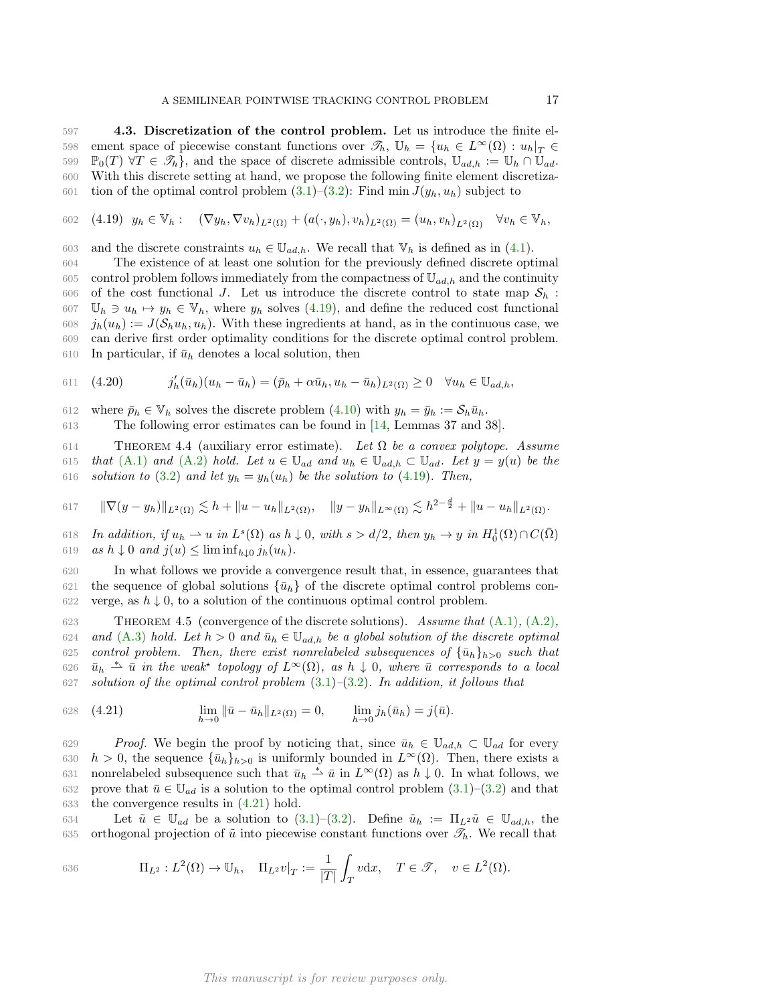<span id="page-16-5"></span>597 4.3. Discretization of the control problem. Let us introduce the finite el-598 ement space of piecewise constant functions over  $\mathscr{T}_h$ ,  $\mathbb{U}_h = \{u_h \in L^{\infty}(\Omega) : u_h|_{\mathcal{T}} \in$ 599  $\mathbb{P}_0(T)$   $\forall T \in \mathcal{F}_h$ , and the space of discrete admissible controls,  $\mathbb{U}_{ad,h} := \mathbb{U}_h \cap \mathbb{U}_{ad}$ . 600 With this discrete setting at hand, we propose the following finite element discretiza-601 tion of the optimal control problem  $(3.1)$ – $(3.2)$ : Find min  $J(y_h, u_h)$  subject to

<span id="page-16-0"></span>602 (4.19) 
$$
y_h \in V_h
$$
:  $(\nabla y_h, \nabla v_h)_{L^2(\Omega)} + (a(\cdot, y_h), v_h)_{L^2(\Omega)} = (u_h, v_h)_{L^2(\Omega)} \quad \forall v_h \in V_h$ 

603 and the discrete constraints  $u_h \in \mathbb{U}_{ad,h}$ . We recall that  $\mathbb{V}_h$  is defined as in [\(4.1\)](#page-11-4).

604 The existence of at least one solution for the previously defined discrete optimal 605 control problem follows immediately from the compactness of  $\mathbb{U}_{ad,h}$  and the continuity 606 of the cost functional J. Let us introduce the discrete control to state map  $S_h$ : 607  $\mathbb{U}_h \ni u_h \mapsto y_h \in \mathbb{V}_h$ , where  $y_h$  solves [\(4.19\)](#page-16-0), and define the reduced cost functional 608  $j_h(u_h) := J(\mathcal{S}_h u_h, u_h)$ . With these ingredients at hand, as in the continuous case, we 609 can derive first order optimality conditions for the discrete optimal control problem. 610 In particular, if  $\bar{u}_h$  denotes a local solution, then

<span id="page-16-4"></span>611 (4.20) 
$$
j'_{h}(\bar{u}_{h})(u_{h}-\bar{u}_{h}) = (\bar{p}_{h}+\alpha\bar{u}_{h},u_{h}-\bar{u}_{h})_{L^{2}(\Omega)} \geq 0 \quad \forall u_{h} \in \mathbb{U}_{ad,h},
$$

612 where  $\bar{p}_h \in \mathbb{V}_h$  solves the discrete problem  $(4.10)$  with  $y_h = \bar{y}_h := \mathcal{S}_h \bar{u}_h$ .

613 The following error estimates can be found in [\[14,](#page-24-0) Lemmas 37 and 38].

<span id="page-16-2"></span>614 THEOREM 4.4 (auxiliary error estimate). Let  $\Omega$  be a convex polytope. Assume 615 that [\(A.1\)](#page-2-3) and [\(A.2\)](#page-2-2) hold. Let  $u \in \mathbb{U}_{ad}$  and  $u_h \in \mathbb{U}_{ad,h} \subset \mathbb{U}_{ad}$ . Let  $y = y(u)$  be the 616 solution to [\(3.2\)](#page-3-3) and let  $y_h = y_h(u_h)$  be the solution to [\(4.19\)](#page-16-0). Then,

$$
617 \qquad \|\nabla (y-y_h)\|_{L^2(\Omega)} \lesssim h + \|u-u_h\|_{L^2(\Omega)}, \quad \|y-y_h\|_{L^\infty(\Omega)} \lesssim h^{2-\frac{d}{2}} + \|u-u_h\|_{L^2(\Omega)}.
$$

618 In addition, if  $u_h \rightharpoonup u$  in  $L^s(\Omega)$  as  $h \downarrow 0$ , with  $s > d/2$ , then  $y_h \to y$  in  $H_0^1(\Omega) \cap C(\overline{\Omega})$ 619 as  $h \downarrow 0$  and  $j(u) \leq \liminf_{h \downarrow 0} j_h(u_h)$ .

620 In what follows we provide a convergence result that, in essence, guarantees that 621 the sequence of global solutions  $\{\bar{u}_h\}$  of the discrete optimal control problems con-622 verge, as  $h \downarrow 0$ , to a solution of the continuous optimal control problem.

<span id="page-16-3"></span>623 THEOREM 4.5 (convergence of the discrete solutions). Assume that  $(A.1)$ ,  $(A.2)$ , 624 and [\(A.3\)](#page-2-4) hold. Let  $h > 0$  and  $\bar{u}_h \in \mathbb{U}_{ad,h}$  be a global solution of the discrete optimal 625 control problem. Then, there exist nonrelabeled subsequences of  $\{\bar{u}_h\}_{h>0}$  such that 626  $\bar{u}_h \stackrel{*}{\rightharpoonup} \bar{u}$  in the weak\* topology of  $L^{\infty}(\Omega)$ , as  $h \downarrow 0$ , where  $\bar{u}$  corresponds to a local 627 solution of the optimal control problem  $(3.1)$ – $(3.2)$ . In addition, it follows that

<span id="page-16-1"></span>628 (4.21) 
$$
\lim_{h \to 0} \|\bar{u} - \bar{u}_h\|_{L^2(\Omega)} = 0, \qquad \lim_{h \to 0} j_h(\bar{u}_h) = j(\bar{u}).
$$

629 Proof. We begin the proof by noticing that, since  $\bar{u}_h \in \mathbb{U}_{ad,h} \subset \mathbb{U}_{ad}$  for every 630  $h > 0$ , the sequence  ${\bar{u}_h}_{h>0}$  is uniformly bounded in  $L^{\infty}(\Omega)$ . Then, there exists a 631 nonrelabeled subsequence such that  $\bar{u}_h \overset{*}{\rightharpoonup} \bar{u}$  in  $L^\infty(\Omega)$  as  $h \downarrow 0$ . In what follows, we 632 prove that  $\bar{u} \in \mathbb{U}_{ad}$  is a solution to the optimal control problem  $(3.1)$ – $(3.2)$  and that 633 the convergence results in [\(4.21\)](#page-16-1) hold.

634 Let  $\tilde{u} \in \mathbb{U}_{ad}$  be a solution to [\(3.1\)](#page-3-4)–[\(3.2\)](#page-3-3). Define  $\tilde{u}_h := \Pi_{L^2} \tilde{u} \in \mathbb{U}_{ad,h}$ , the 635 orthogonal projection of  $\tilde{u}$  into piecewise constant functions over  $\mathscr{T}_h$ . We recall that

636 
$$
\Pi_{L^2}: L^2(\Omega) \to \mathbb{U}_h, \quad \Pi_{L^2}v|_T := \frac{1}{|T|}\int_T v \,dx, \quad T \in \mathcal{F}, \quad v \in L^2(\Omega).
$$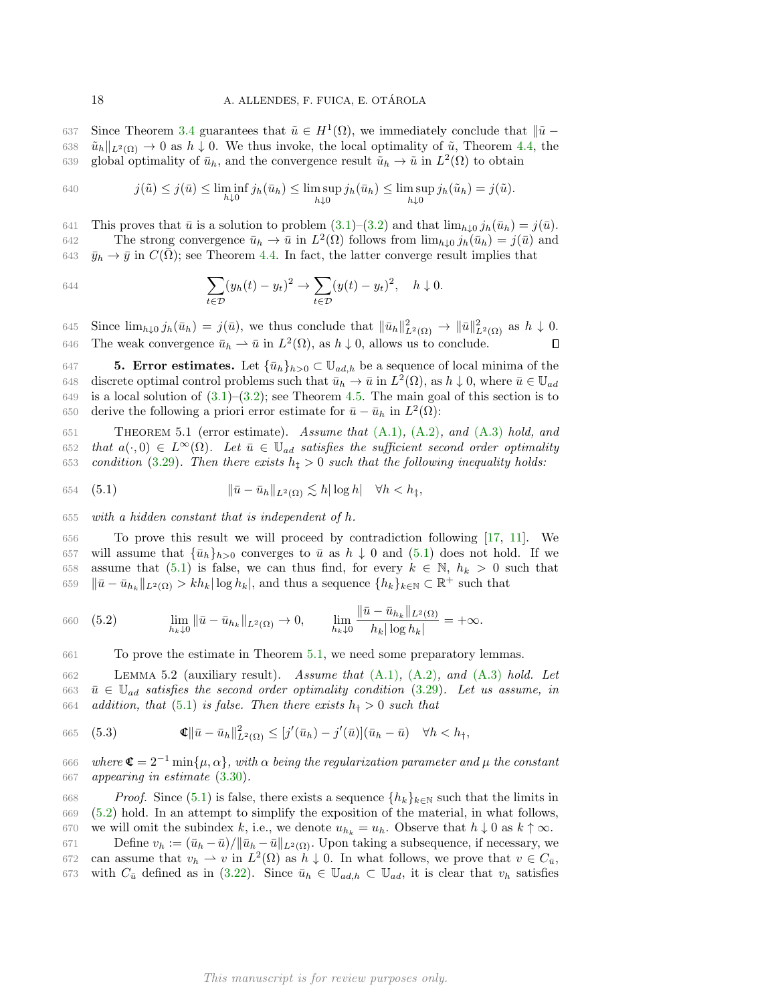637 Since Theorem [3.4](#page-6-5) guarantees that  $\tilde{u} \in H^1(\Omega)$ , we immediately conclude that  $\|\tilde{u} -$ 638  $\tilde{u}_h||_{L^2(\Omega)} \to 0$  as  $h \downarrow 0$ . We thus invoke, the local optimality of  $\tilde{u}$ , Theorem [4.4,](#page-16-2) the 639 global optimality of  $\bar{u}_h$ , and the convergence result  $\tilde{u}_h \to \tilde{u}$  in  $L^2(\Omega)$  to obtain

640 
$$
j(\tilde{u}) \leq j(\bar{u}) \leq \liminf_{h \downarrow 0} j_h(\bar{u}_h) \leq \limsup_{h \downarrow 0} j_h(\bar{u}_h) \leq \limsup_{h \downarrow 0} j_h(\tilde{u}_h) = j(\tilde{u}).
$$

641 This proves that  $\bar{u}$  is a solution to problem  $(3.1)-(3.2)$  $(3.1)-(3.2)$  $(3.1)-(3.2)$  and that  $\lim_{h\downarrow0} j_h(\bar{u}_h) = j(\bar{u})$ . 642 The strong convergence  $\bar{u}_h \to \bar{u}$  in  $L^2(\Omega)$  follows from  $\lim_{h\downarrow 0} j_h(\bar{u}_h) = j(\bar{u})$  and 643  $\bar{y}_h \to \bar{y}$  in  $C(\bar{\Omega})$ ; see Theorem [4.4.](#page-16-2) In fact, the latter converge result implies that

644 
$$
\sum_{t \in \mathcal{D}} (y_h(t) - y_t)^2 \to \sum_{t \in \mathcal{D}} (y(t) - y_t)^2, \quad h \downarrow 0.
$$

645 Since  $\lim_{h\downarrow 0} j_h(\bar{u}_h) = j(\bar{u})$ , we thus conclude that  $\|\bar{u}_h\|_{L^2(\Omega)}^2 \to \|\bar{u}\|_{L^2(\Omega)}^2$  as  $h \downarrow 0$ . 646 The weak convergence  $\bar{u}_h \rightharpoonup \bar{u}$  in  $L^2(\Omega)$ , as  $h \downarrow 0$ , allows us to conclude.  $\Box$ 

<span id="page-17-0"></span>647 **5. Error estimates.** Let  $\{\bar{u}_h\}_{h>0} \subset \mathbb{U}_{ad,h}$  be a sequence of local minima of the 648 discrete optimal control problems such that  $\bar{u}_h \to \bar{u}$  in  $L^2(\Omega)$ , as  $h \downarrow 0$ , where  $\bar{u} \in \mathbb{U}_{ad}$ 649 is a local solution of  $(3.1)$ – $(3.2)$ ; see Theorem [4.5.](#page-16-3) The main goal of this section is to 650 derive the following a priori error estimate for  $\bar{u} - \bar{u}_h$  in  $L^2(\Omega)$ :

<span id="page-17-1"></span><sup>651</sup> Theorem 5.1 (error estimate). Assume that [\(A.1\)](#page-2-3), [\(A.2\)](#page-2-2), and [\(A.3\)](#page-2-4) hold, and 652 that  $a(\cdot, 0) \in L^{\infty}(\Omega)$ . Let  $\bar{u} \in \mathbb{U}_{ad}$  satisfies the sufficient second order optimality 653 condition [\(3.29\)](#page-11-2). Then there exists  $h_{\ddagger} > 0$  such that the following inequality holds:

<span id="page-17-2"></span>
$$
654 \quad (5.1) \qquad \qquad \|\bar{u} - \bar{u}_h\|_{L^2(\Omega)} \lesssim h|\log h| \quad \forall h < h_{\ddagger},
$$

 $655$  with a hidden constant that is independent of h.

656 To prove this result we will proceed by contradiction following [\[17,](#page-24-19) [11\]](#page-23-9). We 657 will assume that  ${\bar{u}_h}_{h>0}$  converges to  $\bar{u}$  as  $h \downarrow 0$  and [\(5.1\)](#page-17-2) does not hold. If we 658 assume that [\(5.1\)](#page-17-2) is false, we can thus find, for every  $k \in \mathbb{N}$ ,  $h_k > 0$  such that 659  $\|\bar{u} - \bar{u}_{h_k}\|_{L^2(\Omega)} > kh_k |\log h_k|$ , and thus a sequence  $\{h_k\}_{k\in\mathbb{N}} \subset \mathbb{R}^+$  such that

<span id="page-17-3"></span>
$$
\text{660} \quad (5.2) \qquad \qquad \lim_{h_k \downarrow 0} \|\bar{u} - \bar{u}_{h_k}\|_{L^2(\Omega)} \to 0, \qquad \lim_{h_k \downarrow 0} \frac{\|\bar{u} - \bar{u}_{h_k}\|_{L^2(\Omega)}}{h_k |\log h_k|} = +\infty.
$$

661 To prove the estimate in Theorem [5.1,](#page-17-1) we need some preparatory lemmas.

662 LEMMA 5.2 (auxiliary result). Assume that  $(A.1)$ ,  $(A.2)$ , and  $(A.3)$  hold. Let 663  $\bar{u} \in \mathbb{U}_{ad}$  satisfies the second order optimality condition [\(3.29\)](#page-11-2). Let us assume, in 664 addition, that [\(5.1\)](#page-17-2) is false. Then there exists  $h_{\dagger} > 0$  such that

<span id="page-17-4"></span>665 (5.3) 
$$
\mathbb{C} \|\bar{u} - \bar{u}_h\|_{L^2(\Omega)}^2 \leq [j'(\bar{u}_h) - j'(\bar{u})](\bar{u}_h - \bar{u}) \quad \forall h < h_{\dagger},
$$

666 where  $\mathfrak{C} = 2^{-1} \min{\mu, \alpha}$ , with  $\alpha$  being the regularization parameter and  $\mu$  the constant 667 appearing in estimate [\(3.30\)](#page-11-1).

668 Proof. Since [\(5.1\)](#page-17-2) is false, there exists a sequence  $\{h_k\}_{k\in\mathbb{N}}$  such that the limits in 669 [\(5.2\)](#page-17-3) hold. In an attempt to simplify the exposition of the material, in what follows, 670 we will omit the subindex k, i.e., we denote  $u_{h_k} = u_h$ . Observe that  $h \downarrow 0$  as  $k \uparrow \infty$ .

671 Define  $v_h := (\bar{u}_h - \bar{u})/||\bar{u}_h - \bar{u}||_{L^2(\Omega)}$ . Upon taking a subsequence, if necessary, we 672 can assume that  $v_h \rightharpoonup v$  in  $L^2(\Omega)$  as  $h \downarrow 0$ . In what follows, we prove that  $v \in C_{\bar{u}}$ ,

673 with  $C_{\bar{u}}$  defined as in [\(3.22\)](#page-8-5). Since  $\bar{u}_h \in \mathbb{U}_{ad,h} \subset \mathbb{U}_{ad}$ , it is clear that  $v_h$  satisfies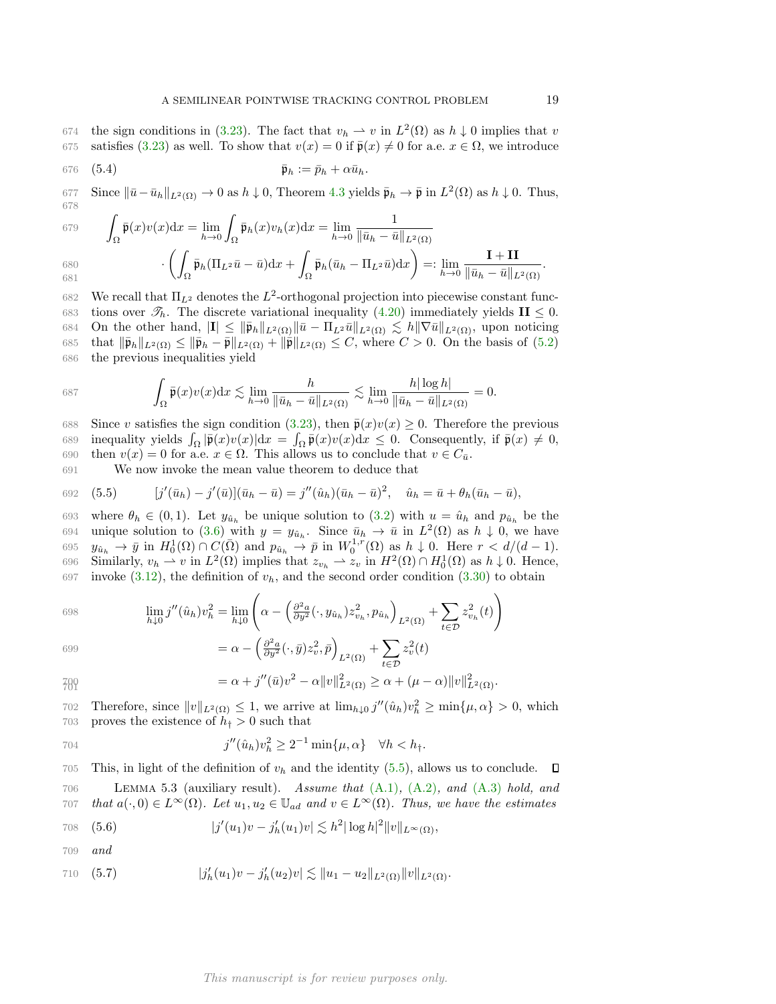674 the sign conditions in [\(3.23\)](#page-8-4). The fact that  $v_h \rightharpoonup v$  in  $L^2(\Omega)$  as  $h \downarrow 0$  implies that v 675 satisfies [\(3.23\)](#page-8-4) as well. To show that  $v(x) = 0$  if  $\bar{\mathfrak{p}}(x) \neq 0$  for a.e.  $x \in \Omega$ , we introduce

$$
\overline{\mathfrak{p}}_h := \overline{p}_h + \alpha \overline{u}_h.
$$

677 Since  $\|\bar{u}-\bar{u}_h\|_{L^2(\Omega)} \to 0$  as  $h \downarrow 0$ , Theorem [4.3](#page-14-4) yields  $\bar{\mathfrak{p}}_h \to \bar{\mathfrak{p}}$  in  $L^2(\Omega)$  as  $h \downarrow 0$ . Thus, 678

679 
$$
\int_{\Omega} \bar{\mathfrak{p}}(x)v(x)dx = \lim_{h \to 0} \int_{\Omega} \bar{\mathfrak{p}}_h(x)v_h(x)dx = \lim_{h \to 0} \frac{1}{\|\bar{u}_h - \bar{u}\|_{L^2(\Omega)}}
$$

$$
\cdot \left( \int_{\Omega} \bar{\mathfrak{p}}_h(\Pi_{L^2}\bar{u} - \bar{u})dx + \int_{\Omega} \bar{\mathfrak{p}}_h(\bar{u}_h - \Pi_{L^2}\bar{u})dx \right) =: \lim_{h \to 0} \frac{1 + II}{\|\bar{u}_h - \bar{u}\|_{L^2(\Omega)}}.
$$

682 We recall that  $\Pi_{L^2}$  denotes the  $L^2$ -orthogonal projection into piecewise constant func-683 tions over  $\mathcal{T}_h$ . The discrete variational inequality [\(4.20\)](#page-16-4) immediately yields  $\mathbf{II} \leq 0$ . 684 On the other hand,  $|I| ≤ ||\bar{p}_h||_{L^2(\Omega)} ||\bar{u} - \Pi_{L^2}\bar{u}||_{L^2(\Omega)} ≤ h||\nabla \bar{u}||_{L^2(\Omega)}$ , upon noticing 685 that  $\|\bar{\mathfrak{p}}_h\|_{L^2(\Omega)} \le \|\bar{\mathfrak{p}}_h - \bar{\mathfrak{p}}\|_{L^2(\Omega)} + \|\bar{\mathfrak{p}}\|_{L^2(\Omega)} \le C$ , where  $C > 0$ . On the basis of [\(5.2\)](#page-17-3) 686 the previous inequalities yield

$$
\text{687} \qquad \qquad \int_{\Omega} \bar{\mathfrak{p}}(x)v(x) \mathrm{d}x \lesssim \lim_{h \to 0} \frac{h}{\|\bar{u}_h - \bar{u}\|_{L^2(\Omega)}} \lesssim \lim_{h \to 0} \frac{h|\log h|}{\|\bar{u}_h - \bar{u}\|_{L^2(\Omega)}} = 0.
$$

688 Since v satisfies the sign condition [\(3.23\)](#page-8-4), then  $\bar{\mathfrak{p}}(x)v(x) \geq 0$ . Therefore the previous 689 inequality yields  $\int_{\Omega} |\bar{\mathfrak{p}}(x)v(x)| dx = \int_{\Omega} \bar{\mathfrak{p}}(x)v(x) dx \leq 0$ . Consequently, if  $\bar{\mathfrak{p}}(x) \neq 0$ , 690 then  $v(x) = 0$  for a.e.  $x \in \Omega$ . This allows us to conclude that  $v \in C_{\bar{u}}$ .

691 We now invoke the mean value theorem to deduce that

<span id="page-18-0"></span>692 (5.5) 
$$
[j'(\bar{u}_h) - j'(\bar{u})](\bar{u}_h - \bar{u}) = j''(\hat{u}_h)(\bar{u}_h - \bar{u})^2, \quad \hat{u}_h = \bar{u} + \theta_h(\bar{u}_h - \bar{u}),
$$

693 where  $\theta_h \in (0,1)$ . Let  $y_{\hat{u}_h}$  be unique solution to  $(3.2)$  with  $u = \hat{u}_h$  and  $p_{\hat{u}_h}$  be the 694 unique solution to [\(3.6\)](#page-5-1) with  $y = y_{\hat{u}_h}$ . Since  $\bar{u}_h \to \bar{u}$  in  $L^2(\Omega)$  as  $h \downarrow 0$ , we have 695  $y_{\hat{u}_h} \to \bar{y}$  in  $H_0^1(\Omega) \cap C(\bar{\Omega})$  and  $p_{\hat{u}_h} \to \bar{p}$  in  $W_0^{1,r}(\Omega)$  as  $h \downarrow 0$ . Here  $r < d/(d-1)$ . 696 Similarly,  $v_h \rightharpoonup v$  in  $L^2(\Omega)$  implies that  $z_{v_h} \rightharpoonup z_v$  in  $H^2(\Omega) \cap H_0^1(\Omega)$  as  $h \downarrow 0$ . Hence, 697 invoke [\(3.12\)](#page-6-2), the definition of  $v_h$ , and the second order condition [\(3.30\)](#page-11-1) to obtain

698 
$$
\lim_{h \downarrow 0} j''(\hat{u}_h) v_h^2 = \lim_{h \downarrow 0} \left( \alpha - \left( \frac{\partial^2 a}{\partial y^2} (\cdot, y_{\hat{u}_h}) z_{v_h}^2, p_{\hat{u}_h} \right)_{L^2(\Omega)} + \sum_{t \in \mathcal{D}} z_{v_h}^2(t) \right)
$$

$$
= \alpha - \left( \frac{\partial^2 a}{\partial y^2} (\cdot, \bar{y}) z_h^2, \bar{p} \right) + \sum_{t \in \mathcal{D}} z_t^2(t)
$$

$$
= \alpha - \left(\frac{\partial^2 a}{\partial y^2}(\cdot, \bar{y}) z_v^2, \bar{p}\right)_{L^2(\Omega)} + \sum_{t \in \mathcal{D}} z_v^2(t)
$$

709 
$$
= \alpha + j''(\bar{u})v^2 - \alpha ||v||^2_{L^2(\Omega)} \ge \alpha + (\mu - \alpha)||v||^2_{L^2(\Omega)}.
$$

Therefore, since  $||v||_{L^2(\Omega)} \leq 1$ , we arrive at  $\lim_{h\downarrow 0} j''(\hat{u}_h)v_h^2 \geq \min\{\mu, \alpha\} > 0$ , which 703 proves the existence of  $h<sub>†</sub> > 0$  such that

704 
$$
j''(\hat{u}_h)v_h^2 \ge 2^{-1} \min\{\mu, \alpha\} \quad \forall h < h_\dagger.
$$

705 This, in light of the definition of  $v_h$  and the identity [\(5.5\)](#page-18-0), allows us to conclude.  $\Box$ 

<sup>706</sup> Lemma 5.3 (auxiliary result). Assume that [\(A.1\)](#page-2-3), [\(A.2\)](#page-2-2), and [\(A.3\)](#page-2-4) hold, and 707 that  $a(\cdot, 0) \in L^{\infty}(\Omega)$ . Let  $u_1, u_2 \in \mathbb{U}_{ad}$  and  $v \in L^{\infty}(\Omega)$ . Thus, we have the estimates

<span id="page-18-1"></span>708 (5.6) 
$$
|j'(u_1)v - j'_h(u_1)v| \lesssim h^2 |\log h|^2 ||v||_{L^{\infty}(\Omega)},
$$

709 and

789

<span id="page-18-2"></span>710 (5.7) 
$$
|j'_h(u_1)v - j'_h(u_2)v| \lesssim ||u_1 - u_2||_{L^2(\Omega)} ||v||_{L^2(\Omega)}.
$$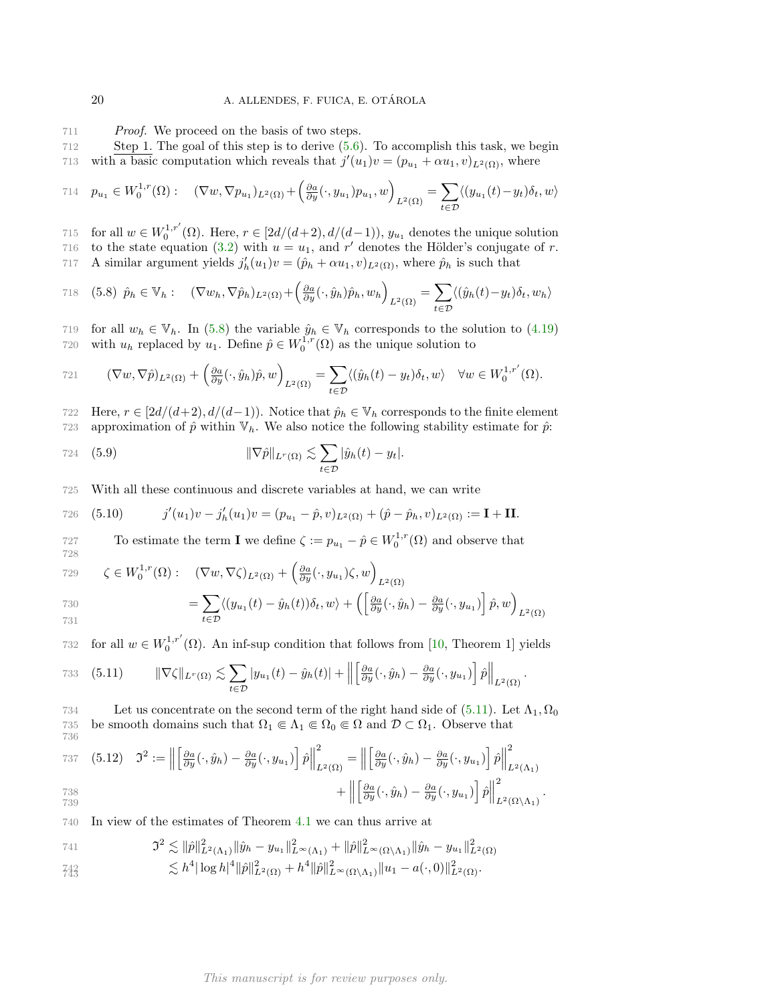711 Proof. We proceed on the basis of two steps.

712 Step 1. The goal of this step is to derive [\(5.6\)](#page-18-1). To accomplish this task, we begin 713 with a basic computation which reveals that  $j'(u_1)v = (p_{u_1} + \alpha u_1, v)_{L^2(\Omega)}$ , where

$$
714 \quad p_{u_1} \in W_0^{1,r}(\Omega): \quad (\nabla w, \nabla p_{u_1})_{L^2(\Omega)} + \left(\frac{\partial a}{\partial y}(\cdot, y_{u_1}) p_{u_1}, w\right)_{L^2(\Omega)} = \sum_{t \in \mathcal{D}} \langle (y_{u_1}(t) - y_t)\delta_t, w \rangle
$$

715 for all  $w \in W_0^{1,r'}(\Omega)$ . Here,  $r \in [2d/(d+2), d/(d-1)), y_{u_1}$  denotes the unique solution 716 to the state equation [\(3.2\)](#page-3-3) with  $u = u_1$ , and r' denotes the Hölder's conjugate of r. 717 A similar argument yields  $j'_h(u_1)v = (\hat{p}_h + \alpha u_1, v)_{L^2(\Omega)}$ , where  $\hat{p}_h$  is such that

<span id="page-19-0"></span>718 (5.8) 
$$
\hat{p}_h \in \mathbb{V}_h
$$
:  $(\nabla w_h, \nabla \hat{p}_h)_{L^2(\Omega)} + \left(\frac{\partial a}{\partial y}(\cdot, \hat{y}_h) \hat{p}_h, w_h\right)_{L^2(\Omega)} = \sum_{t \in \mathcal{D}} \langle (\hat{y}_h(t) - y_t) \delta_t, w_h \rangle$ 

719 for all  $w_h \in V_h$ . In [\(5.8\)](#page-19-0) the variable  $\hat{y}_h \in V_h$  corresponds to the solution to [\(4.19\)](#page-16-0) 720 with  $u_h$  replaced by  $u_1$ . Define  $\hat{p} \in W_0^{1,r}(\Omega)$  as the unique solution to

$$
721 \qquad (\nabla w, \nabla \hat{p})_{L^2(\Omega)} + \left(\frac{\partial a}{\partial y}(\cdot, \hat{y}_h)\hat{p}, w\right)_{L^2(\Omega)} = \sum_{t \in \mathcal{D}} \langle (\hat{y}_h(t) - y_t)\delta_t, w \rangle \quad \forall w \in W_0^{1, r'}(\Omega).
$$

722 Here,  $r \in [2d/(d+2), d/(d-1))$ . Notice that  $\hat{p}_h \in V_h$  corresponds to the finite element 723 approximation of  $\hat{p}$  within  $V_h$ . We also notice the following stability estimate for  $\hat{p}$ :

<span id="page-19-2"></span>
$$
||\nabla \hat{p}||_{L^r(\Omega)} \lesssim \sum_{t \in \mathcal{D}} |\hat{y}_h(t) - y_t|.
$$

725 With all these continuous and discrete variables at hand, we can write

<span id="page-19-3"></span>726 (5.10) 
$$
j'(u_1)v - j'_h(u_1)v = (p_{u_1} - \hat{p}, v)_{L^2(\Omega)} + (\hat{p} - \hat{p}_h, v)_{L^2(\Omega)} := \mathbf{I} + \mathbf{II}.
$$

727 To estimate the term **I** we define  $\zeta := p_{u_1} - \hat{p} \in W_0^{1,r}(\Omega)$  and observe that 728

$$
\zeta \in W_0^{1,r}(\Omega): \quad (\nabla w, \nabla \zeta)_{L^2(\Omega)} + \left(\frac{\partial a}{\partial y}(\cdot, y_{u_1})\zeta, w\right)_{L^2(\Omega)}
$$

$$
= \sum_{t \in \mathcal{D}} \langle (y_{u_1}(t) - \hat{y}_h(t))\delta_t, w \rangle + \left(\left[\frac{\partial a}{\partial y}(\cdot, \hat{y}_h) - \frac{\partial a}{\partial y}(\cdot, y_{u_1})\right]\hat{p}, w\right)
$$

732 for all  $w \in W_0^{1,r'}(\Omega)$ . An inf-sup condition that follows from [\[10,](#page-23-5) Theorem 1] yields

 $L^2(\Omega)$ 

<span id="page-19-1"></span>733 (5.11) 
$$
\|\nabla \zeta\|_{L^r(\Omega)} \lesssim \sum_{t \in \mathcal{D}} |y_{u_1}(t) - \hat{y}_h(t)| + \left\| \left[ \frac{\partial a}{\partial y} (\cdot, \hat{y}_h) - \frac{\partial a}{\partial y} (\cdot, y_{u_1}) \right] \hat{p} \right\|_{L^2(\Omega)}.
$$

734 Let us concentrate on the second term of the right hand side of  $(5.11)$ . Let  $\Lambda_1, \Omega_0$ 735 be smooth domains such that  $\Omega_1 \subseteq \Lambda_1 \subseteq \Omega_0 \subseteq \Omega$  and  $\mathcal{D} \subset \Omega_1$ . Observe that 736

$$
737 \quad (5.12) \quad \mathfrak{I}^2 := \left\| \begin{bmatrix} \frac{\partial a}{\partial y}(\cdot, \hat{y}_h) - \frac{\partial a}{\partial y}(\cdot, y_{u_1}) \end{bmatrix} \hat{p} \right\|_{L^2(\Omega)}^2 = \left\| \begin{bmatrix} \frac{\partial a}{\partial y}(\cdot, \hat{y}_h) - \frac{\partial a}{\partial y}(\cdot, y_{u_1}) \end{bmatrix} \hat{p} \right\|_{L^2(\Lambda_1)}^2
$$
  

$$
+ \left\| \begin{bmatrix} \frac{\partial a}{\partial y}(\cdot, \hat{y}_h) - \frac{\partial a}{\partial y}(\cdot, y_{u_1}) \end{bmatrix} \hat{p} \right\|_{L^2(\Omega \setminus \Lambda_1)}^2.
$$

740 In view of the estimates of Theorem [4.1](#page-12-0) we can thus arrive at

741 
$$
\mathfrak{I}^2 \lesssim \|\hat{p}\|_{L^2(\Lambda_1)}^2 \|\hat{y}_h - y_{u_1}\|_{L^\infty(\Lambda_1)}^2 + \|\hat{p}\|_{L^\infty(\Omega \setminus \Lambda_1)}^2 \|\hat{y}_h - y_{u_1}\|_{L^2(\Omega)}^2
$$

$$
\lesssim h^4 |\log h|^4 \|\hat{p}\|_{L^2(\Omega)}^2 + h^4 \|\hat{p}\|_{L^\infty(\Omega \setminus \Lambda_1)}^2 \|u_1 - a(\cdot, 0)\|_{L^2(\Omega)}^2.
$$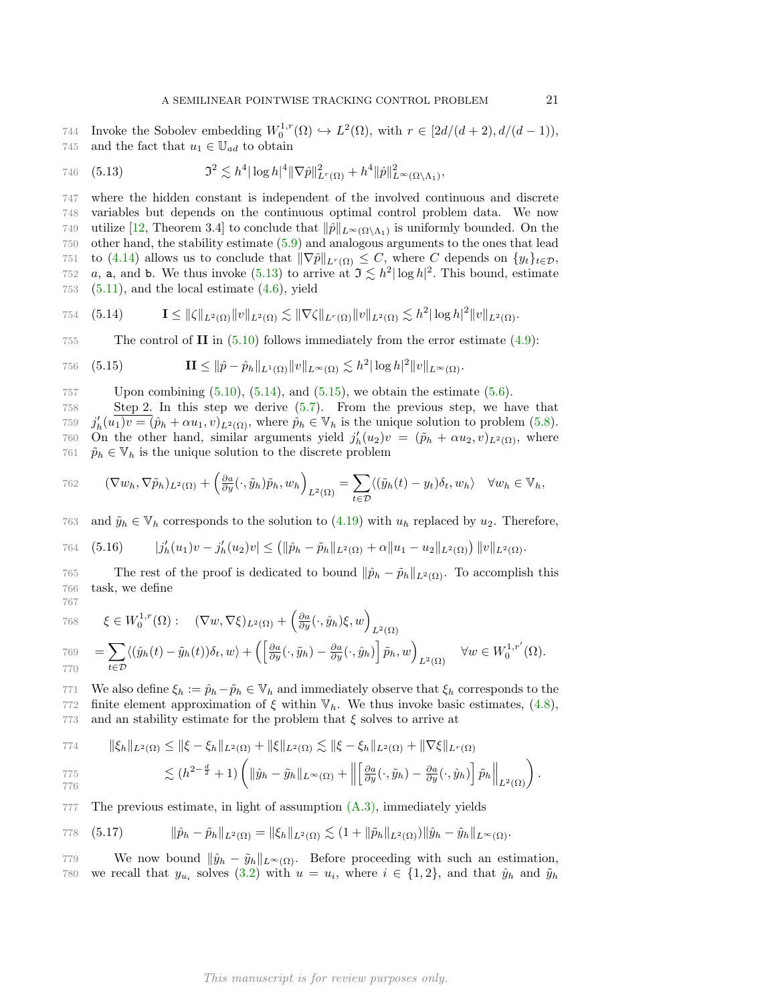744 Invoke the Sobolev embedding  $W_0^{1,r}(\Omega) \hookrightarrow L^2(\Omega)$ , with  $r \in [2d/(d+2), d/(d-1)),$ 745 and the fact that  $u_1 \in \mathbb{U}_{ad}$  to obtain

<span id="page-20-0"></span>746 (5.13) 
$$
\mathfrak{I}^2 \lesssim h^4 |\log h|^4 \|\nabla \hat{p}\|_{L^r(\Omega)}^2 + h^4 \|\hat{p}\|_{L^{\infty}(\Omega \setminus \Lambda_1)}^2,
$$

747 where the hidden constant is independent of the involved continuous and discrete 748 variables but depends on the continuous optimal control problem data. We now 749 utilize [\[12,](#page-23-7) Theorem 3.4] to conclude that  $\|\hat{p}\|_{L^{\infty}(\Omega\setminus\Lambda_1)}$  is uniformly bounded. On the 750 other hand, the stability estimate [\(5.9\)](#page-19-2) and analogous arguments to the ones that lead 751 to [\(4.14\)](#page-15-0) allows us to conclude that  $\|\nabla \hat{p}\|_{L^r(\Omega)} \leq C$ , where C depends on  $\{y_t\}_{t\in\mathcal{D}}$ , 752 a, a, and b. We thus invoke  $(5.13)$  to arrive at  $\mathfrak{I} \lesssim h^2 |\log h|^2$ . This bound, estimate  $753$  [\(5.11\)](#page-19-1), and the local estimate  $(4.6)$ , yield

<span id="page-20-1"></span>754 (5.14) 
$$
\mathbf{I} \leq ||\zeta||_{L^{2}(\Omega)} ||v||_{L^{2}(\Omega)} \lesssim ||\nabla \zeta||_{L^{r}(\Omega)} ||v||_{L^{2}(\Omega)} \lesssim h^{2} |\log h|^{2} ||v||_{L^{2}(\Omega)}.
$$

755 The control of II in [\(5.10\)](#page-19-3) follows immediately from the error estimate [\(4.9\)](#page-13-2):

<span id="page-20-2"></span>756 (5.15) 
$$
\mathbf{II} \leq \|\hat{p} - \hat{p}_h\|_{L^1(\Omega)} \|v\|_{L^{\infty}(\Omega)} \lesssim h^2 |\log h|^2 \|v\|_{L^{\infty}(\Omega)}.
$$

757 Upon combining  $(5.10)$ ,  $(5.14)$ , and  $(5.15)$ , we obtain the estimate  $(5.6)$ .

 Step 2. In this step we derive [\(5.7\)](#page-18-2). From the previous step, we have that  $j'_{h}(u_1)v = (\hat{p}_h + \alpha u_1, v)_{L^2(\Omega)}$ , where  $\hat{p}_h \in V_h$  is the unique solution to problem [\(5.8\)](#page-19-0). 760 On the other hand, similar arguments yield  $j'_{h}(u_2)v = (\tilde{p}_h + \alpha u_2, v)_{L^2(\Omega)}$ , where  $\tilde{p}_h \in \mathbb{V}_h$  is the unique solution to the discrete problem

762 
$$
(\nabla w_h, \nabla \tilde{p}_h)_{L^2(\Omega)} + \left(\frac{\partial a}{\partial y}(\cdot, \tilde{y}_h) \tilde{p}_h, w_h\right)_{L^2(\Omega)} = \sum_{t \in \mathcal{D}} \langle (\tilde{y}_h(t) - y_t) \delta_t, w_h \rangle \quad \forall w_h \in \mathbb{V}_h,
$$

763 and  $\tilde{y}_h \in \mathbb{V}_h$  corresponds to the solution to  $(4.19)$  with  $u_h$  replaced by  $u_2$ . Therefore,

<span id="page-20-4"></span>764 (5.16) 
$$
|j'_h(u_1)v - j'_h(u_2)v| \leq (||\hat{p}_h - \tilde{p}_h||_{L^2(\Omega)} + \alpha ||u_1 - u_2||_{L^2(\Omega)}) ||v||_{L^2(\Omega)}.
$$

The rest of the proof is dedicated to bound  $\|\hat{p}_h - \tilde{p}_h\|_{L^2(\Omega)}$ . To accomplish this 766 task, we define 767

768 
$$
\xi \in W_0^{1,r}(\Omega): \quad (\nabla w, \nabla \xi)_{L^2(\Omega)} + \left(\frac{\partial a}{\partial y}(\cdot, \hat{y}_h)\xi, w\right)_{L^2(\Omega)} \n769 
$$
= \sum_{t \in \mathcal{D}} \langle (\hat{y}_h(t) - \tilde{y}_h(t))\delta_t, w \rangle + \left(\left[\frac{\partial a}{\partial y}(\cdot, \tilde{y}_h) - \frac{\partial a}{\partial y}(\cdot, \hat{y}_h)\right] \tilde{p}_h, w\right)_{L^2(\Omega)} \quad \forall w \in W_0^{1,r'}(\Omega).
$$
$$

771 We also define  $\xi_h := \hat{p}_h - \tilde{p}_h \in V_h$  and immediately observe that  $\xi_h$  corresponds to the 772 finite element approximation of  $\xi$  within  $V_h$ . We thus invoke basic estimates, [\(4.8\)](#page-13-1), 773 and an stability estimate for the problem that  $\xi$  solves to arrive at

$$
\|\xi_h\|_{L^2(\Omega)} \le \|\xi - \xi_h\|_{L^2(\Omega)} + \|\xi\|_{L^2(\Omega)} \lesssim \|\xi - \xi_h\|_{L^2(\Omega)} + \|\nabla\xi\|_{L^r(\Omega)}
$$
  

$$
\lesssim (h^{2-\frac{d}{2}}+1) \left( \|\hat{y}_h - \tilde{y}_h\|_{L^\infty(\Omega)} + \left\| \left[\frac{\partial a}{\partial y}(\cdot, \tilde{y}_h) - \frac{\partial a}{\partial y}(\cdot, \hat{y}_h) \right] \tilde{p}_h \right\|_{L^2(\Omega)} \right).
$$

777 The previous estimate, in light of assumption [\(A.3\),](#page-2-4) immediately yields

<span id="page-20-3"></span>778 (5.17) 
$$
\|\hat{p}_h - \tilde{p}_h\|_{L^2(\Omega)} = \|\xi_h\|_{L^2(\Omega)} \lesssim (1 + \|\tilde{p}_h\|_{L^2(\Omega)}) \|\hat{y}_h - \tilde{y}_h\|_{L^\infty(\Omega)}.
$$

779 We now bound  $\|\hat{y}_h - \tilde{y}_h\|_{L^\infty(\Omega)}$ . Before proceeding with such an estimation, 780 we recall that  $y_{u_i}$  solves [\(3.2\)](#page-3-3) with  $u = u_i$ , where  $i \in \{1, 2\}$ , and that  $\hat{y}_h$  and  $\tilde{y}_h$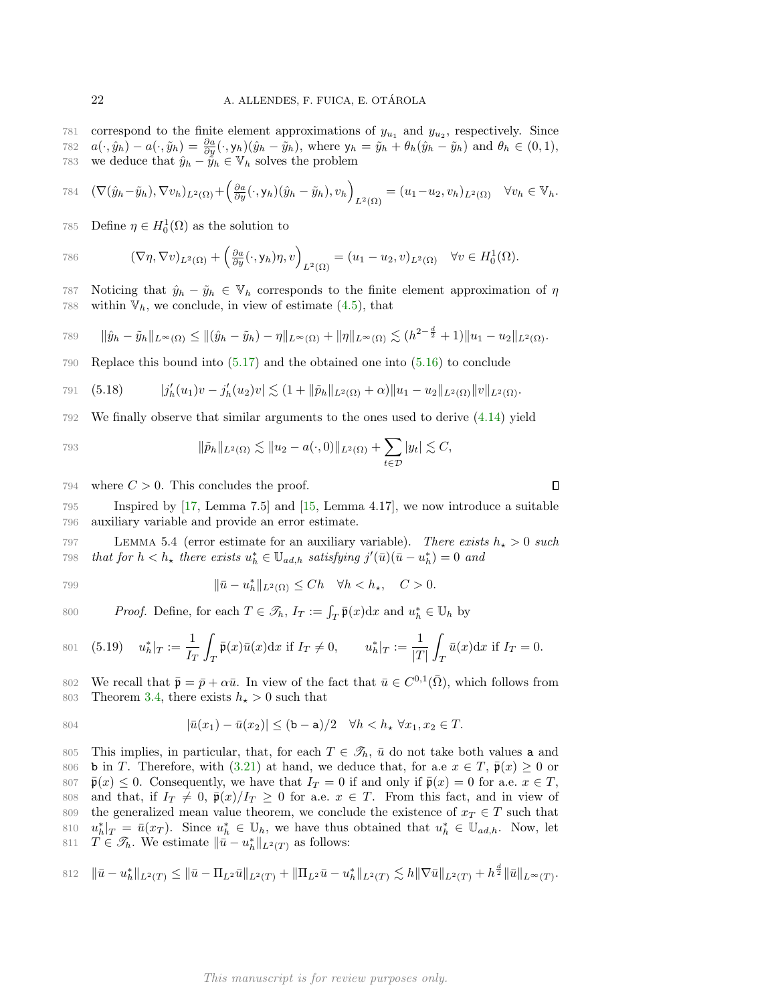781 correspond to the finite element approximations of  $y_{u_1}$  and  $y_{u_2}$ , respectively. Since 782  $a(\cdot, \hat{y}_h) - a(\cdot, \tilde{y}_h) = \frac{\partial a}{\partial y}(\cdot, y_h)(\hat{y}_h - \tilde{y}_h)$ , where  $y_h = \tilde{y}_h + \theta_h(\hat{y}_h - \tilde{y}_h)$  and  $\theta_h \in (0, 1)$ , 783 we deduce that  $\hat{y}_h - \hat{y}_h \in V_h$  solves the problem

784 
$$
(\nabla(\hat{y}_h - \tilde{y}_h), \nabla v_h)_{L^2(\Omega)} + \left(\frac{\partial a}{\partial y}(\cdot, y_h)(\hat{y}_h - \tilde{y}_h), v_h\right)_{L^2(\Omega)} = (u_1 - u_2, v_h)_{L^2(\Omega)} \quad \forall v_h \in \mathbb{V}_h.
$$

785 Define  $\eta \in H_0^1(\Omega)$  as the solution to

786 
$$
(\nabla \eta, \nabla v)_{L^2(\Omega)} + \left(\frac{\partial a}{\partial y}(\cdot, y_h)\eta, v\right)_{L^2(\Omega)} = (u_1 - u_2, v)_{L^2(\Omega)} \quad \forall v \in H_0^1(\Omega).
$$

787 Noticing that  $\hat{y}_h - \tilde{y}_h \in V_h$  corresponds to the finite element approximation of  $\eta$ 788 within  $V_h$ , we conclude, in view of estimate [\(4.5\)](#page-12-3), that

789 
$$
\|\hat{y}_h - \tilde{y}_h\|_{L^{\infty}(\Omega)} \leq \|(\hat{y}_h - \tilde{y}_h) - \eta\|_{L^{\infty}(\Omega)} + \|\eta\|_{L^{\infty}(\Omega)} \lesssim (h^{2 - \frac{d}{2}} + 1) \|u_1 - u_2\|_{L^2(\Omega)}.
$$

790 Replace this bound into [\(5.17\)](#page-20-3) and the obtained one into [\(5.16\)](#page-20-4) to conclude

791 (5.18) 
$$
|j'_h(u_1)v - j'_h(u_2)v| \lesssim (1 + ||\tilde{p}_h||_{L^2(\Omega)} + \alpha) ||u_1 - u_2||_{L^2(\Omega)} ||v||_{L^2(\Omega)}.
$$

792 We finally observe that similar arguments to the ones used to derive [\(4.14\)](#page-15-0) yield

793 
$$
\|\tilde{p}_h\|_{L^2(\Omega)} \lesssim \|u_2 - a(\cdot, 0)\|_{L^2(\Omega)} + \sum_{t \in \mathcal{D}} |y_t| \lesssim C,
$$

794 where  $C > 0$ . This concludes the proof.

795 Inspired by [\[17,](#page-24-19) Lemma 7.5] and [\[15,](#page-24-20) Lemma 4.17], we now introduce a suitable 796 auxiliary variable and provide an error estimate.

<span id="page-21-1"></span>797 LEMMA 5.4 (error estimate for an auxiliary variable). There exists  $h<sub>\star</sub> > 0$  such 798 that for  $h < h_{\star}$  there exists  $u_h^* \in \mathbb{U}_{ad,h}$  satisfying  $j'(\bar{u})(\bar{u} - u_h^*) = 0$  and

$$
\|\bar{u} - u_h^*\|_{L^2(\Omega)} \le Ch \quad \forall h < h_\star, \quad C > 0.
$$

800 Proof. Define, for each  $T \in \mathcal{T}_h$ ,  $I_T := \int_T \bar{\mathfrak{p}}(x) dx$  and  $u_h^* \in \mathbb{U}_h$  by

<span id="page-21-0"></span>801 (5.19) 
$$
u_h^*|_T := \frac{1}{I_T} \int_T \bar{\mathfrak{p}}(x) \bar{u}(x) dx
$$
 if  $I_T \neq 0$ ,  $u_h^*|_T := \frac{1}{|T|} \int_T \bar{u}(x) dx$  if  $I_T = 0$ .

802 We recall that  $\bar{\mathfrak{p}} = \bar{p} + \alpha \bar{u}$ . In view of the fact that  $\bar{u} \in C^{0,1}(\bar{\Omega})$ , which follows from 803 Theorem [3.4,](#page-6-5) there exists  $h<sub>\star</sub> > 0$  such that

804 
$$
|\bar{u}(x_1) - \bar{u}(x_2)| \leq (\mathbf{b} - \mathbf{a})/2 \quad \forall h < h_\star \ \forall x_1, x_2 \in T.
$$

805 This implies, in particular, that, for each  $T \in \mathcal{I}_h$ ,  $\bar{u}$  do not take both values a and 806 b in T. Therefore, with [\(3.21\)](#page-8-6) at hand, we deduce that, for a.e  $x \in T$ ,  $\bar{\mathfrak{p}}(x) \ge 0$  or 807  $\bar{\mathfrak{p}}(x) \leq 0$ . Consequently, we have that  $I_T = 0$  if and only if  $\bar{\mathfrak{p}}(x) = 0$  for a.e.  $x \in T$ , 808 and that, if  $I_T \neq 0$ ,  $\bar{\mathfrak{p}}(x)/I_T \geq 0$  for a.e.  $x \in T$ . From this fact, and in view of 809 the generalized mean value theorem, we conclude the existence of  $x_T \in T$  such that 810  $u_h^*|_T = \bar{u}(x_T)$ . Since  $u_h^* \in \mathbb{U}_h$ , we have thus obtained that  $u_h^* \in \mathbb{U}_{ad,h}$ . Now, let 811  $\overline{T} \in \mathscr{T}_h$ . We estimate  $\|\overline{\overline{u}} - u_h^*\|_{L^2(T)}$  as follows:

$$
\text{812} \quad \|\bar{u} - u_h^*\|_{L^2(T)} \le \|\bar{u} - \Pi_{L^2}\bar{u}\|_{L^2(T)} + \|\Pi_{L^2}\bar{u} - u_h^*\|_{L^2(T)} \lesssim h\|\nabla\bar{u}\|_{L^2(T)} + h^{\frac{d}{2}}\|\bar{u}\|_{L^\infty(T)}.
$$

 $\Box$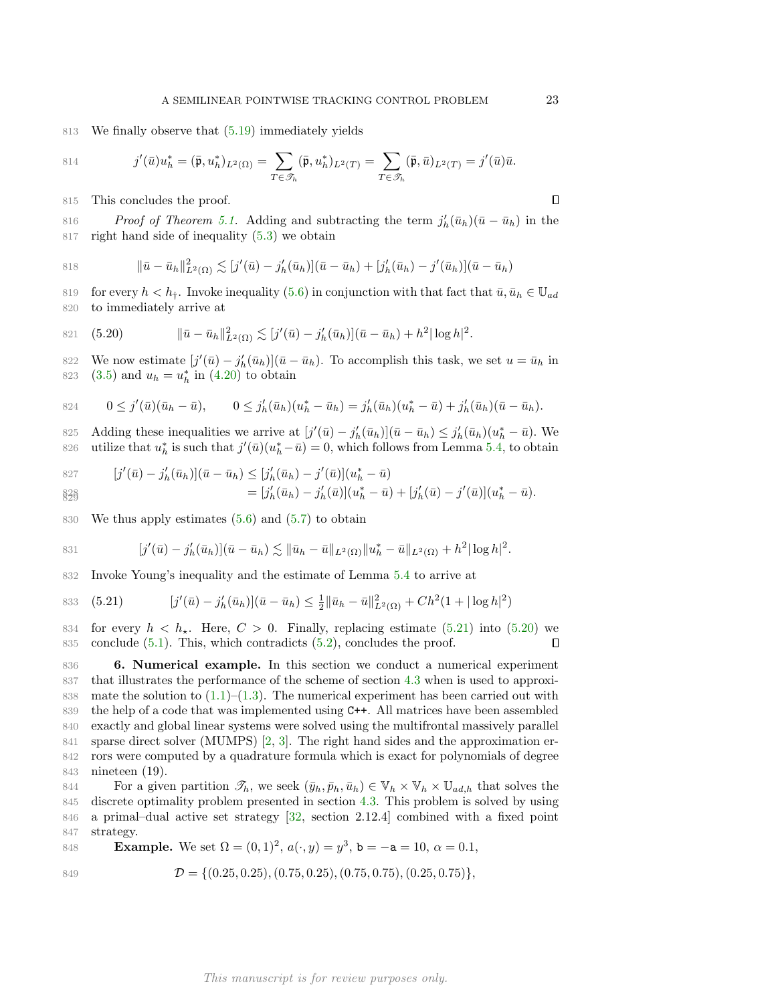813 We finally observe that [\(5.19\)](#page-21-0) immediately yields

814 
$$
j'(\bar{u})u_h^* = (\bar{\mathfrak{p}}, u_h^*)_{L^2(\Omega)} = \sum_{T \in \mathscr{T}_h} (\bar{\mathfrak{p}}, u_h^*)_{L^2(T)} = \sum_{T \in \mathscr{T}_h} (\bar{\mathfrak{p}}, \bar{u})_{L^2(T)} = j'(\bar{u})\bar{u}.
$$

815 This concludes the proof.

816 Proof of Theorem [5.1.](#page-17-1) Adding and subtracting the term  $j'_h(\bar{u}_h)(\bar{u}-\bar{u}_h)$  in the 817 right hand side of inequality [\(5.3\)](#page-17-4) we obtain

818 
$$
\|\bar{u}-\bar{u}_h\|_{L^2(\Omega)}^2 \lesssim [j'(\bar{u})-j'_h(\bar{u}_h)](\bar{u}-\bar{u}_h) + [j'_h(\bar{u}_h)-j'(\bar{u}_h)](\bar{u}-\bar{u}_h)
$$

819 for every  $h < h_{\uparrow}$ . Invoke inequality [\(5.6\)](#page-18-1) in conjunction with that fact that  $\bar{u}, \bar{u}_h \in \mathbb{U}_{ad}$ 820 to immediately arrive at

<span id="page-22-2"></span>821 (5.20) 
$$
\|\bar{u}-\bar{u}_h\|_{L^2(\Omega)}^2 \lesssim [j'(\bar{u})-j'_h(\bar{u}_h)](\bar{u}-\bar{u}_h)+h^2|\log h|^2.
$$

822 We now estimate  $[j'(\bar{u}) - j'_{h}(\bar{u}_{h})](\bar{u} - \bar{u}_{h})$ . To accomplish this task, we set  $u = \bar{u}_{h}$  in 823 [\(3.5\)](#page-4-2) and  $u_h = u_h^*$  in [\(4.20\)](#page-16-4) to obtain

824 
$$
0 \leq j'(\bar{u})(\bar{u}_h - \bar{u}), \qquad 0 \leq j'_h(\bar{u}_h)(u_h^* - \bar{u}_h) = j'_h(\bar{u}_h)(u_h^* - \bar{u}) + j'_h(\bar{u}_h)(\bar{u} - \bar{u}_h).
$$

825 Adding these inequalities we arrive at  $[j'(\bar{u}) - j'_{h}(\bar{u}_{h})](\bar{u} - \bar{u}_{h}) \leq j'_{h}(\bar{u}_{h})(u_{h}^{*} - \bar{u})$ . We 826 utilize that  $u_h^*$  is such that  $j'(\bar{u})(u_h^* - \bar{u}) = 0$ , which follows from Lemma [5.4,](#page-21-1) to obtain

827 
$$
[j'(\bar{u}) - j'_h(\bar{u}_h)](\bar{u} - \bar{u}_h) \leq [j'_h(\bar{u}_h) - j'(\bar{u})](u_h^* - \bar{u})
$$
  
\n828 
$$
= [j'_h(\bar{u}_h) - j'_h(\bar{u})](u_h^* - \bar{u}) + [j'_h(\bar{u}) - j'(\bar{u})](u_h^* - \bar{u}).
$$

830 We thus apply estimates  $(5.6)$  and  $(5.7)$  to obtain

831 
$$
[j'(\bar{u}) - j'_{h}(\bar{u}_{h})](\bar{u} - \bar{u}_{h}) \lesssim ||\bar{u}_{h} - \bar{u}||_{L^{2}(\Omega)} ||u_{h}^{*} - \bar{u}||_{L^{2}(\Omega)} + h^{2} |\log h|^{2}.
$$

832 Invoke Young's inequality and the estimate of Lemma [5.4](#page-21-1) to arrive at

<span id="page-22-1"></span>
$$
\text{(5.21)} \qquad [j'(\bar{u}) - j'_h(\bar{u}_h)](\bar{u} - \bar{u}_h) \le \frac{1}{2} ||\bar{u}_h - \bar{u}||^2_{L^2(\Omega)} + Ch^2(1 + |\log h|^2)
$$

834 for every  $h < h_{\star}$ . Here,  $C > 0$ . Finally, replacing estimate [\(5.21\)](#page-22-1) into [\(5.20\)](#page-22-2) we 835 conclude  $(5.1)$ . This, which contradicts  $(5.2)$ , concludes the proof.  $\Box$ 

<span id="page-22-0"></span> 6. Numerical example. In this section we conduct a numerical experiment that illustrates the performance of the scheme of section [4.3](#page-16-5) when is used to approxi-838 mate the solution to  $(1.1)$ – $(1.3)$ . The numerical experiment has been carried out with the help of a code that was implemented using C++. All matrices have been assembled exactly and global linear systems were solved using the multifrontal massively parallel 841 sparse direct solver (MUMPS) [\[2,](#page-23-10) [3\]](#page-23-11). The right hand sides and the approximation er- rors were computed by a quadrature formula which is exact for polynomials of degree nineteen (19).

844 For a given partition  $\mathscr{T}_h$ , we seek  $(\bar{y}_h, \bar{p}_h, \bar{u}_h) \in \mathbb{V}_h \times \mathbb{V}_h \times \mathbb{U}_{ad,h}$  that solves the discrete optimality problem presented in section [4.3.](#page-16-5) This problem is solved by using a primal–dual active set strategy [\[32,](#page-24-3) section 2.12.4] combined with a fixed point strategy.

848 **Example.** We set 
$$
\Omega = (0, 1)^2
$$
,  $a(\cdot, y) = y^3$ ,  $b = -a = 10$ ,  $\alpha = 0.1$ ,

$$
D = \{ (0.25, 0.25), (0.75, 0.25), (0.75, 0.75), (0.25, 0.75) \},
$$

 $\Box$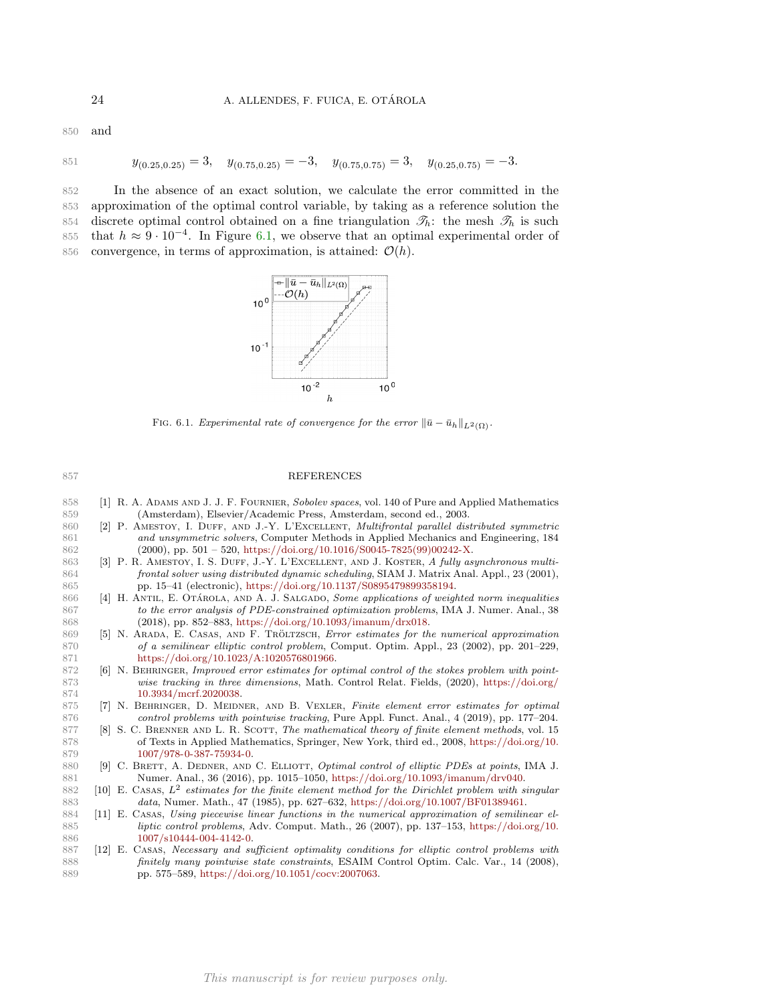850 and

$$
851 \t y_{(0.25, 0.25)} = 3, \t y_{(0.75, 0.25)} = -3, \t y_{(0.75, 0.75)} = 3, \t y_{(0.25, 0.75)} = -3.
$$

<span id="page-23-12"></span>852 In the absence of an exact solution, we calculate the error committed in the 853 approximation of the optimal control variable, by taking as a reference solution the 854 discrete optimal control obtained on a fine triangulation  $\mathcal{T}_h$ : the mesh  $\mathcal{T}_h$  is such 855 that  $h \approx 9 \cdot 10^{-4}$ . In Figure [6.1,](#page-23-12) we observe that an optimal experimental order of 856 convergence, in terms of approximation, is attained:  $\mathcal{O}(h)$ .



FIG. 6.1. Experimental rate of convergence for the error  $\|\bar{u}-\bar{u}_h\|_{L^2(\Omega)}$ .

## 857 REFERENCES

- <span id="page-23-6"></span>858 [1] R. A. ADAMS AND J. J. F. FOURNIER, Sobolev spaces, vol. 140 of Pure and Applied Mathematics 859 (Amsterdam), Elsevier/Academic Press, Amsterdam, second ed., 2003.
- <span id="page-23-10"></span>860 [2] P. AMESTOY, I. DUFF, AND J.-Y. L'EXCELLENT, *Multifrontal parallel distributed symmetric* 861 and unsymmetric solvers, Computer Methods in Applied Mechanics and Engineering, 184  $(2000),\,{\rm pp.}\,\,501$  – 520, [https://doi.org/10.1016/S0045-7825\(99\)00242-X.](https://doi.org/10.1016/S0045-7825(99)00242-X)
- <span id="page-23-11"></span>863 [3] P. R. AMESTOY, I. S. DUFF, J.-Y. L'EXCELLENT, AND J. KOSTER, A fully asynchronous multi-864 frontal solver using distributed dynamic scheduling, SIAM J. Matrix Anal. Appl., 23 (2001), 865 pp. 15–41 (electronic), [https://doi.org/10.1137/S0895479899358194.](https://doi.org/10.1137/S0895479899358194)
- <span id="page-23-2"></span>866 [4] H. ANTIL, E. OTÁROLA, AND A. J. SALGADO, Some applications of weighted norm inequalities 867 to the error analysis of PDE-constrained optimization problems, IMA J. Numer. Anal., 38 868 (2018), pp. 852–883, [https://doi.org/10.1093/imanum/drx018.](https://doi.org/10.1093/imanum/drx018)
- <span id="page-23-0"></span>869 [5] N. ARADA, E. CASAS, AND F. TRÖLTZSCH, Error estimates for the numerical approximation 870 of a semilinear elliptic control problem, Comput. Optim. Appl., 23 (2002), pp. 201–229, 871 [https://doi.org/10.1023/A:1020576801966.](https://doi.org/10.1023/A:1020576801966)<br>872 [6] N. BEHRINGER, *Improved error estimates for o*
- <span id="page-23-4"></span>[6] N. BEHRINGER, Improved error estimates for optimal control of the stokes problem with point-873 wise tracking in three dimensions, Math. Control Relat. Fields, (2020), [https://doi.org/](https://doi.org/10.3934/mcrf.2020038) 874 [10.3934/mcrf.2020038.](https://doi.org/10.3934/mcrf.2020038)
- <span id="page-23-3"></span>875 [7] N. BEHRINGER, D. MEIDNER, AND B. VEXLER, Finite element error estimates for optimal 876 control problems with pointwise tracking, Pure Appl. Funct. Anal., 4 (2019), pp. 177–204.<br>877 [8] S. C. BRENNER AND L. R. SCOTT, The mathematical theory of finite element methods, vol. 15
- <span id="page-23-8"></span>[8] S. C. BRENNER AND L. R. SCOTT, The mathematical theory of finite element methods, vol. 15 878 of Texts in Applied Mathematics, Springer, New York, third ed., 2008, [https://doi.org/10.](https://doi.org/10.1007/978-0-387-75934-0) 879 [1007/978-0-387-75934-0.](https://doi.org/10.1007/978-0-387-75934-0)
- <span id="page-23-1"></span>880 [9] C. BRETT, A. DEDNER, AND C. ELLIOTT, Optimal control of elliptic PDEs at points, IMA J. 881 Numer. Anal., 36 (2016), pp. 1015–1050, [https://doi.org/10.1093/imanum/drv040.](https://doi.org/10.1093/imanum/drv040)
- <span id="page-23-5"></span>882 [10] E. Casas,  $L^2$  estimates for the finite element method for the Dirichlet problem with singular 883 data, Numer. Math., 47 (1985), pp. 627–632, [https://doi.org/10.1007/BF01389461.](https://doi.org/10.1007/BF01389461)
- <span id="page-23-9"></span>884 [11] E. Casas, Using piecewise linear functions in the numerical approximation of semilinear el-885 liptic control problems, Adv. Comput. Math., 26 (2007), pp. 137–153, [https://doi.org/10.](https://doi.org/10.1007/s10444-004-4142-0) 886 [1007/s10444-004-4142-0.](https://doi.org/10.1007/s10444-004-4142-0)
- <span id="page-23-7"></span>887 [12] E. Casas, Necessary and sufficient optimality conditions for elliptic control problems with 888 finitely many pointwise state constraints, ESAIM Control Optim. Calc. Var., 14 (2008), 889 pp. 575–589, [https://doi.org/10.1051/cocv:2007063.](https://doi.org/10.1051/cocv:2007063)